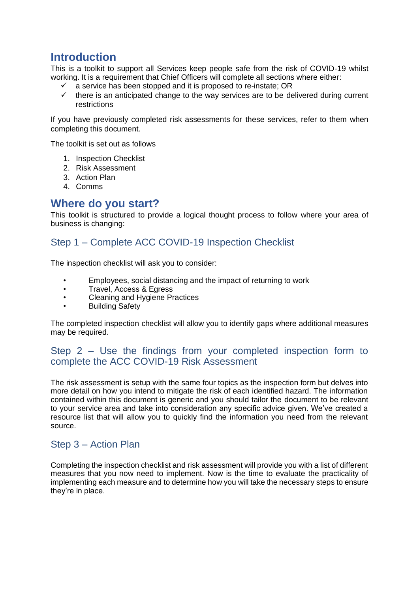## **Introduction**

This is a toolkit to support all Services keep people safe from the risk of COVID-19 whilst working. It is a requirement that Chief Officers will complete all sections where either:

- $\checkmark$  a service has been stopped and it is proposed to re-instate; OR
- $\checkmark$  there is an anticipated change to the way services are to be delivered during current restrictions

If you have previously completed risk assessments for these services, refer to them when completing this document.

The toolkit is set out as follows

- 1. Inspection Checklist
- 2. Risk Assessment
- 3. Action Plan
- 4. Comms

### **Where do you start?**

This toolkit is structured to provide a logical thought process to follow where your area of business is changing:

#### Step 1 – Complete ACC COVID-19 Inspection Checklist

The inspection checklist will ask you to consider:

- Employees, social distancing and the impact of returning to work
- Travel, Access & Egress
- Cleaning and Hygiene Practices
- **Building Safety**

The completed inspection checklist will allow you to identify gaps where additional measures may be required.

#### Step 2 – Use the findings from your completed inspection form to complete the ACC COVID-19 Risk Assessment

The risk assessment is setup with the same four topics as the inspection form but delves into more detail on how you intend to mitigate the risk of each identified hazard. The information contained within this document is generic and you should tailor the document to be relevant to your service area and take into consideration any specific advice given. We've created a resource list that will allow you to quickly find the information you need from the relevant source.

#### Step 3 – Action Plan

Completing the inspection checklist and risk assessment will provide you with a list of different measures that you now need to implement. Now is the time to evaluate the practicality of implementing each measure and to determine how you will take the necessary steps to ensure they're in place.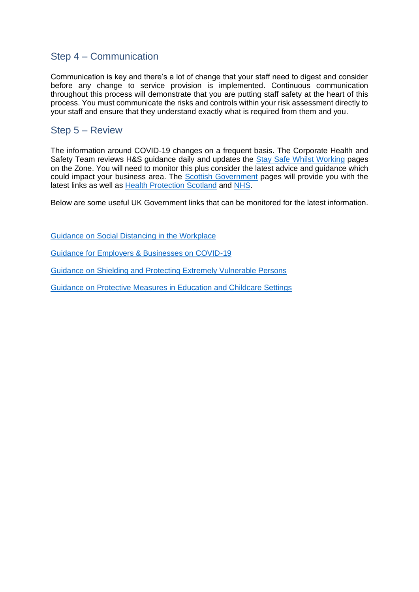#### Step 4 – Communication

Communication is key and there's a lot of change that your staff need to digest and consider before any change to service provision is implemented. Continuous communication throughout this process will demonstrate that you are putting staff safety at the heart of this process. You must communicate the risks and controls within your risk assessment directly to your staff and ensure that they understand exactly what is required from them and you.

#### Step 5 – Review

The information around COVID-19 changes on a frequent basis. The Corporate Health and Safety Team reviews H&S guidance daily and updates the [Stay Safe Whilst Working](https://peopleanytime.aberdeencity.gov.uk/coronavirus-advice-for-employees/coronavirus-staying-safe-while-working/) pages on the Zone. You will need to monitor this plus consider the latest advice and guidance which could impact your business area. The [Scottish Government](https://www.gov.scot/collections/coronavirus-covid-19-guidance/) pages will provide you with the latest links as well as [Health Protection Scotland](https://www.hps.scot.nhs.uk/a-to-z-of-topics/covid-19/) and [NHS.](https://www.nhs.uk/conditions/coronavirus-covid-19/)

Below are some useful UK Government links that can be monitored for the latest information.

Guidance on [Social Distancing in the Workplace](https://www.gov.uk/guidance/social-distancing-in-the-workplace-during-coronavirus-covid-19-sector-guidance)

[Guidance for Employers & Businesses on COVID-19](https://www.gov.uk/government/publications/guidance-to-employers-and-businesses-about-covid-19/guidance-for-employers-and-businesses-on-coronavirus-covid-19)

[Guidance on Shielding and Protecting Extremely Vulnerable Persons](https://www.gov.uk/government/publications/guidance-on-shielding-and-protecting-extremely-vulnerable-persons-from-covid-19)

[Guidance on Protective Measures in Education and Childcare Settings](https://www.gov.uk/government/publications/coronavirus-covid-19-implementing-protective-measures-in-education-and-childcare-settings/coronavirus-covid-19-implementing-protective-measures-in-education-and-childcare-settings)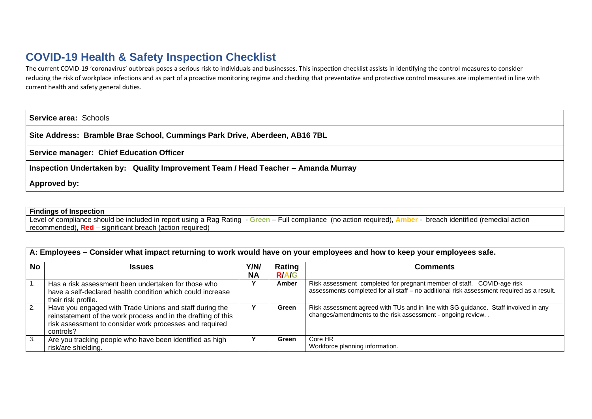## **COVID-19 Health & Safety Inspection Checklist**

The current COVID-19 'coronavirus' outbreak poses a serious risk to individuals and businesses. This inspection checklist assists in identifying the control measures to consider reducing the risk of workplace infections and as part of a proactive monitoring regime and checking that preventative and protective control measures are implemented in line with current health and safety general duties.

**Service area:** Schools

**Site Address: Bramble Brae School, Cummings Park Drive, Aberdeen, AB16 7BL**

**Service manager: Chief Education Officer**

**Inspection Undertaken by: Quality Improvement Team / Head Teacher – Amanda Murray**

**Approved by:** 

**Findings of Inspection**

Level of compliance should be included in report using a Rag Rating - **Green** – Full compliance (no action required), **Amber** - breach identified (remedial action recommended), **Red** – significant breach (action required)

|  |  | A: Employees - Consider what impact returning to work would have on your employees and how to keep your employees safe. |  |  |
|--|--|-------------------------------------------------------------------------------------------------------------------------|--|--|
|  |  |                                                                                                                         |  |  |

| <b>No</b> | <b>Issues</b>                                                                                                                                                                                    | Y/N/      | Rating       | Comments                                                                                                                                                            |
|-----------|--------------------------------------------------------------------------------------------------------------------------------------------------------------------------------------------------|-----------|--------------|---------------------------------------------------------------------------------------------------------------------------------------------------------------------|
|           |                                                                                                                                                                                                  | <b>NA</b> | <b>R/A/G</b> |                                                                                                                                                                     |
|           | Has a risk assessment been undertaken for those who<br>have a self-declared health condition which could increase<br>their risk profile.                                                         |           | Amber        | Risk assessment completed for pregnant member of staff. COVID-age risk<br>assessments completed for all staff - no additional risk assessment required as a result. |
| 2.        | Have you engaged with Trade Unions and staff during the<br>reinstatement of the work process and in the drafting of this<br>risk assessment to consider work processes and required<br>controls? |           | Green        | Risk assessment agreed with TUs and in line with SG guidance. Staff involved in any<br>changes/amendments to the risk assessment - ongoing review                   |
| 3.        | Are you tracking people who have been identified as high<br>risk/are shielding.                                                                                                                  |           | Green        | Core HR<br>Workforce planning information.                                                                                                                          |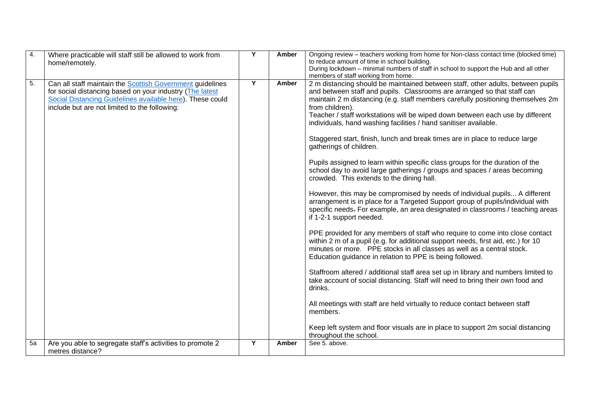| 4. | Where practicable will staff still be allowed to work from<br>home/remotely.                                                                                                                                                               | Y | Amber | Ongoing review - teachers working from home for Non-class contact time (blocked time)<br>to reduce amount of time in school building.<br>During lockdown - minimal numbers of staff in school to support the Hub and all other<br>members of staff working from home.                                                                                                                                                                                                                                                                                                                                                                                                                                                                                                                                                                                                                                                                                                                                                                                                                                                                                                                                                                                                                                                                                                                                                                                                                                                                                                                                                                                                                                                         |
|----|--------------------------------------------------------------------------------------------------------------------------------------------------------------------------------------------------------------------------------------------|---|-------|-------------------------------------------------------------------------------------------------------------------------------------------------------------------------------------------------------------------------------------------------------------------------------------------------------------------------------------------------------------------------------------------------------------------------------------------------------------------------------------------------------------------------------------------------------------------------------------------------------------------------------------------------------------------------------------------------------------------------------------------------------------------------------------------------------------------------------------------------------------------------------------------------------------------------------------------------------------------------------------------------------------------------------------------------------------------------------------------------------------------------------------------------------------------------------------------------------------------------------------------------------------------------------------------------------------------------------------------------------------------------------------------------------------------------------------------------------------------------------------------------------------------------------------------------------------------------------------------------------------------------------------------------------------------------------------------------------------------------------|
| 5. | Can all staff maintain the <b>Scottish Government</b> guidelines<br>for social distancing based on your industry (The latest<br>Social Distancing Guidelines available here). These could<br>include but are not limited to the following: | Υ | Amber | 2 m distancing should be maintained between staff, other adults, between pupils<br>and between staff and pupils. Classrooms are arranged so that staff can<br>maintain 2 m distancing (e.g. staff members carefully positioning themselves 2m<br>from children).<br>Teacher / staff workstations will be wiped down between each use by different<br>individuals, hand washing facilities / hand sanitiser available.<br>Staggered start, finish, lunch and break times are in place to reduce large<br>gatherings of children.<br>Pupils assigned to learn within specific class groups for the duration of the<br>school day to avoid large gatherings / groups and spaces / areas becoming<br>crowded. This extends to the dining hall.<br>However, this may be compromised by needs of individual pupils A different<br>arrangement is in place for a Targeted Support group of pupils/individual with<br>specific needs. For example, an area designated in classrooms / teaching areas<br>if 1-2-1 support needed.<br>PPE provided for any members of staff who require to come into close contact<br>within 2 m of a pupil (e.g. for additional support needs, first aid, etc.) for 10<br>minutes or more. PPE stocks in all classes as well as a central stock.<br>Education guidance in relation to PPE is being followed.<br>Staffroom altered / additional staff area set up in library and numbers limited to<br>take account of social distancing. Staff will need to bring their own food and<br>drinks.<br>All meetings with staff are held virtually to reduce contact between staff<br>members.<br>Keep left system and floor visuals are in place to support 2m social distancing<br>throughout the school. |
| 5a | Are you able to segregate staff's activities to promote 2<br>metres distance?                                                                                                                                                              | Y | Amber | See 5. above.                                                                                                                                                                                                                                                                                                                                                                                                                                                                                                                                                                                                                                                                                                                                                                                                                                                                                                                                                                                                                                                                                                                                                                                                                                                                                                                                                                                                                                                                                                                                                                                                                                                                                                                 |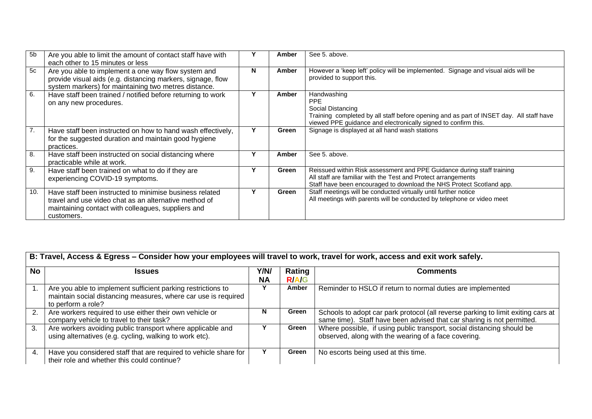| 5b               | Are you able to limit the amount of contact staff have with<br>each other to 15 minutes or less                                                                                      |   | Amber | See 5, above.                                                                                                                                                                                                   |
|------------------|--------------------------------------------------------------------------------------------------------------------------------------------------------------------------------------|---|-------|-----------------------------------------------------------------------------------------------------------------------------------------------------------------------------------------------------------------|
| 5c               | Are you able to implement a one way flow system and<br>provide visual aids (e.g. distancing markers, signage, flow<br>system markers) for maintaining two metres distance.           | N | Amber | However a 'keep left' policy will be implemented. Signage and visual aids will be<br>provided to support this.                                                                                                  |
| 6.               | Have staff been trained / notified before returning to work<br>on any new procedures.                                                                                                |   | Amber | Handwashing<br>PPE<br>Social Distancing<br>Training completed by all staff before opening and as part of INSET day. All staff have<br>viewed PPE guidance and electronically signed to confirm this.            |
| $\overline{7}$ . | Have staff been instructed on how to hand wash effectively,<br>for the suggested duration and maintain good hygiene<br>practices.                                                    | Υ | Green | Signage is displayed at all hand wash stations                                                                                                                                                                  |
| 8.               | Have staff been instructed on social distancing where<br>practicable while at work.                                                                                                  |   | Amber | See 5, above.                                                                                                                                                                                                   |
| 9.               | Have staff been trained on what to do if they are<br>experiencing COVID-19 symptoms.                                                                                                 |   | Green | Reissued within Risk assessment and PPE Guidance during staff training<br>All staff are familiar with the Test and Protect arrangements<br>Staff have been encouraged to download the NHS Protect Scotland app. |
| 10.              | Have staff been instructed to minimise business related<br>travel and use video chat as an alternative method of<br>maintaining contact with colleagues, suppliers and<br>customers. |   | Green | Staff meetings will be conducted virtually until further notice<br>All meetings with parents will be conducted by telephone or video meet                                                                       |

|           | B: Travel, Access & Egress – Consider how your employees will travel to work, travel for work, access and exit work safely.                          |   |                        |                                                                                                                                                            |  |  |  |  |  |
|-----------|------------------------------------------------------------------------------------------------------------------------------------------------------|---|------------------------|------------------------------------------------------------------------------------------------------------------------------------------------------------|--|--|--|--|--|
| <b>No</b> | <b>Issues</b>                                                                                                                                        |   | Rating<br><b>R/A/G</b> | <b>Comments</b>                                                                                                                                            |  |  |  |  |  |
|           | Are you able to implement sufficient parking restrictions to<br>maintain social distancing measures, where car use is required<br>to perform a role? |   | Amber                  | Reminder to HSLO if return to normal duties are implemented                                                                                                |  |  |  |  |  |
| 2.        | Are workers required to use either their own vehicle or<br>company vehicle to travel to their task?                                                  | N | Green                  | Schools to adopt car park protocol (all reverse parking to limit exiting cars at<br>same time). Staff have been advised that car sharing is not permitted. |  |  |  |  |  |
| 3.        | Are workers avoiding public transport where applicable and<br>using alternatives (e.g. cycling, walking to work etc).                                |   | Green                  | Where possible, if using public transport, social distancing should be<br>observed, along with the wearing of a face covering.                             |  |  |  |  |  |
|           | Have you considered staff that are required to vehicle share for<br>their role and whether this could continue?                                      |   | Green                  | No escorts being used at this time.                                                                                                                        |  |  |  |  |  |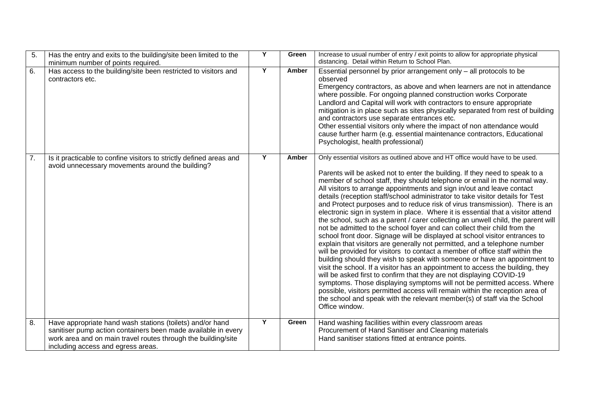| 5. | Has the entry and exits to the building/site been limited to the<br>minimum number of points required.                                                                                                                            | Y | Green | Increase to usual number of entry / exit points to allow for appropriate physical<br>distancing. Detail within Return to School Plan.                                                                                                                                                                                                                                                                                                                                                                                                                                                                                                                                                                                                                                                                                                                                                                                                                                                                                                                                                                                                                                                                                                                                                                                                                                                                                                                                                |
|----|-----------------------------------------------------------------------------------------------------------------------------------------------------------------------------------------------------------------------------------|---|-------|--------------------------------------------------------------------------------------------------------------------------------------------------------------------------------------------------------------------------------------------------------------------------------------------------------------------------------------------------------------------------------------------------------------------------------------------------------------------------------------------------------------------------------------------------------------------------------------------------------------------------------------------------------------------------------------------------------------------------------------------------------------------------------------------------------------------------------------------------------------------------------------------------------------------------------------------------------------------------------------------------------------------------------------------------------------------------------------------------------------------------------------------------------------------------------------------------------------------------------------------------------------------------------------------------------------------------------------------------------------------------------------------------------------------------------------------------------------------------------------|
| 6. | Has access to the building/site been restricted to visitors and<br>contractors etc.                                                                                                                                               | Y | Amber | Essential personnel by prior arrangement only - all protocols to be<br>observed<br>Emergency contractors, as above and when learners are not in attendance<br>where possible. For ongoing planned construction works Corporate<br>Landlord and Capital will work with contractors to ensure appropriate<br>mitigation is in place such as sites physically separated from rest of building<br>and contractors use separate entrances etc.<br>Other essential visitors only where the impact of non attendance would<br>cause further harm (e.g. essential maintenance contractors, Educational<br>Psychologist, health professional)                                                                                                                                                                                                                                                                                                                                                                                                                                                                                                                                                                                                                                                                                                                                                                                                                                                 |
| 7. | Is it practicable to confine visitors to strictly defined areas and<br>avoid unnecessary movements around the building?                                                                                                           | Y | Amber | Only essential visitors as outlined above and HT office would have to be used.<br>Parents will be asked not to enter the building. If they need to speak to a<br>member of school staff, they should telephone or email in the normal way.<br>All visitors to arrange appointments and sign in/out and leave contact<br>details (reception staff/school administrator to take visitor details for Test<br>and Protect purposes and to reduce risk of virus transmission). There is an<br>electronic sign in system in place. Where it is essential that a visitor attend<br>the school, such as a parent / carer collecting an unwell child, the parent will<br>not be admitted to the school foyer and can collect their child from the<br>school front door. Signage will be displayed at school visitor entrances to<br>explain that visitors are generally not permitted, and a telephone number<br>will be provided for visitors to contact a member of office staff within the<br>building should they wish to speak with someone or have an appointment to<br>visit the school. If a visitor has an appointment to access the building, they<br>will be asked first to confirm that they are not displaying COVID-19<br>symptoms. Those displaying symptoms will not be permitted access. Where<br>possible, visitors permitted access will remain within the reception area of<br>the school and speak with the relevant member(s) of staff via the School<br>Office window. |
| 8. | Have appropriate hand wash stations (toilets) and/or hand<br>sanitiser pump action containers been made available in every<br>work area and on main travel routes through the building/site<br>including access and egress areas. | Y | Green | Hand washing facilities within every classroom areas<br>Procurement of Hand Sanitiser and Cleaning materials<br>Hand sanitiser stations fitted at entrance points.                                                                                                                                                                                                                                                                                                                                                                                                                                                                                                                                                                                                                                                                                                                                                                                                                                                                                                                                                                                                                                                                                                                                                                                                                                                                                                                   |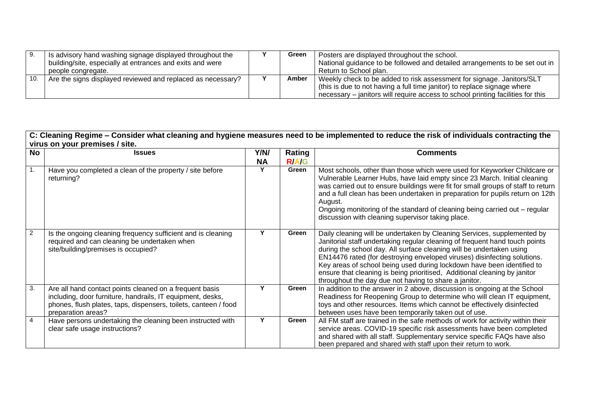|     | Is advisory hand washing signage displayed throughout the   | Green | Posters are displayed throughout the school.                                    |
|-----|-------------------------------------------------------------|-------|---------------------------------------------------------------------------------|
|     | building/site, especially at entrances and exits and were   |       | National guidance to be followed and detailed arrangements to be set out in     |
|     | people congregate.                                          |       | Return to School plan.                                                          |
| 10. | Are the signs displayed reviewed and replaced as necessary? | Amber | Weekly check to be added to risk assessment for signage. Janitors/SLT           |
|     |                                                             |       | this is due to not having a full time janitor) to replace signage where         |
|     |                                                             |       | necessary – janitors will require access to school printing facilities for this |

#### **C: Cleaning Regime – Consider what cleaning and hygiene measures need to be implemented to reduce the risk of individuals contracting the virus on your premises / site.**

| $\overline{N}$   | <b>Issues</b>                                                                                                                                                                                                  | Y/N/      | Rating       | <b>Comments</b>                                                                                                                                                                                                                                                                                                                                                                                                                                                                                                            |
|------------------|----------------------------------------------------------------------------------------------------------------------------------------------------------------------------------------------------------------|-----------|--------------|----------------------------------------------------------------------------------------------------------------------------------------------------------------------------------------------------------------------------------------------------------------------------------------------------------------------------------------------------------------------------------------------------------------------------------------------------------------------------------------------------------------------------|
|                  |                                                                                                                                                                                                                | <b>NA</b> | <b>R/A/G</b> |                                                                                                                                                                                                                                                                                                                                                                                                                                                                                                                            |
| $\overline{1}$ . | Have you completed a clean of the property / site before<br>returning?                                                                                                                                         |           | Green        | Most schools, other than those which were used for Keyworker Childcare or<br>Vulnerable Learner Hubs, have laid empty since 23 March. Initial cleaning<br>was carried out to ensure buildings were fit for small groups of staff to return<br>and a full clean has been undertaken in preparation for pupils return on 12th<br>August.<br>Ongoing monitoring of the standard of cleaning being carried out – regular<br>discussion with cleaning supervisor taking place.                                                  |
| $\overline{2}$   | Is the ongoing cleaning frequency sufficient and is cleaning<br>required and can cleaning be undertaken when<br>site/building/premises is occupied?                                                            |           | Green        | Daily cleaning will be undertaken by Cleaning Services, supplemented by<br>Janitorial staff undertaking regular cleaning of frequent hand touch points<br>during the school day. All surface cleaning will be undertaken using<br>EN14476 rated (for destroying enveloped viruses) disinfecting solutions.<br>Key areas of school being used during lockdown have been identified to<br>ensure that cleaning is being prioritised, Additional cleaning by janitor<br>throughout the day due not having to share a janitor. |
| $\overline{3}$ . | Are all hand contact points cleaned on a frequent basis<br>including, door furniture, handrails, IT equipment, desks,<br>phones, flush plates, taps, dispensers, toilets, canteen / food<br>preparation areas? |           | Green        | In addition to the answer in 2 above, discussion is ongoing at the School<br>Readiness for Reopening Group to determine who will clean IT equipment,<br>toys and other resources. Items which cannot be effectively disinfected<br>between uses have been temporarily taken out of use.                                                                                                                                                                                                                                    |
| $\overline{4}$   | Have persons undertaking the cleaning been instructed with<br>clear safe usage instructions?                                                                                                                   |           | Green        | All FM staff are trained in the safe methods of work for activity within their<br>service areas. COVID-19 specific risk assessments have been completed<br>and shared with all staff. Supplementary service specific FAQs have also<br>been prepared and shared with staff upon their return to work.                                                                                                                                                                                                                      |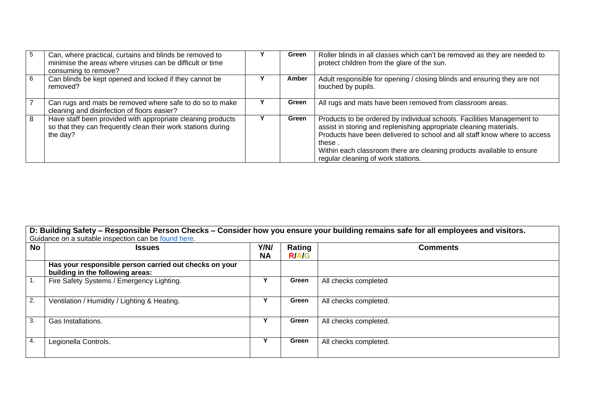| 5 | Can, where practical, curtains and blinds be removed to<br>minimise the areas where viruses can be difficult or time<br>consuming to remove? | Green | Roller blinds in all classes which can't be removed as they are needed to<br>protect children from the glare of the sun.                                                                                                                                                                                                                            |
|---|----------------------------------------------------------------------------------------------------------------------------------------------|-------|-----------------------------------------------------------------------------------------------------------------------------------------------------------------------------------------------------------------------------------------------------------------------------------------------------------------------------------------------------|
| 6 | Can blinds be kept opened and locked if they cannot be<br>removed?                                                                           | Amber | Adult responsible for opening / closing blinds and ensuring they are not<br>touched by pupils.                                                                                                                                                                                                                                                      |
|   | Can rugs and mats be removed where safe to do so to make<br>cleaning and disinfection of floors easier?                                      | Green | All rugs and mats have been removed from classroom areas.                                                                                                                                                                                                                                                                                           |
| 8 | Have staff been provided with appropriate cleaning products<br>so that they can frequently clean their work stations during<br>the day?      | Green | Products to be ordered by individual schools. Facilities Management to<br>assist in storing and replenishing appropriate cleaning materials.<br>Products have been delivered to school and all staff know where to access<br>these .<br>Within each classroom there are cleaning products available to ensure<br>regular cleaning of work stations. |

**D: Building Safety – Responsible Person Checks – Consider how you ensure your building remains safe for all employees and visitors.** Guidance on a suitable inspection can be [found here.](https://www.alcumusgroup.com/guidance-health-safety-inspection-checklist)

| <b>No</b>        | $5.15$ $\sigma$ $5.15$ $\sigma$ $1.5$ $\sigma$ $1.5$ $\sigma$ $1.5$ $\sigma$<br><b>Issues</b> | Y/N/<br><b>NA</b> | Rating<br><b>R/A/G</b> | <b>Comments</b>       |
|------------------|-----------------------------------------------------------------------------------------------|-------------------|------------------------|-----------------------|
|                  | Has your responsible person carried out checks on your<br>building in the following areas:    |                   |                        |                       |
| $\vert$ 1.       | Fire Safety Systems / Emergency Lighting.                                                     |                   | Green                  | All checks completed  |
| $\overline{2}$ . | Ventilation / Humidity / Lighting & Heating.                                                  |                   | Green                  | All checks completed. |
| 3.               | Gas Installations.                                                                            | v                 | Green                  | All checks completed. |
| 4.               | Legionella Controls.                                                                          | v                 | Green                  | All checks completed. |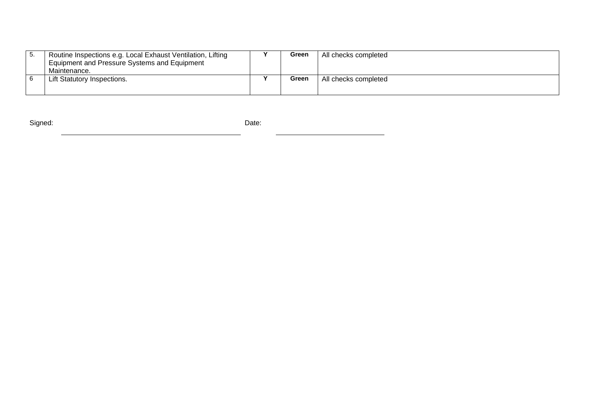| Ð. | Routine Inspections e.g. Local Exhaust Ventilation, Lifting | Green | All checks completed |
|----|-------------------------------------------------------------|-------|----------------------|
|    | Equipment and Pressure Systems and Equipment                |       |                      |
|    | Maintenance.                                                |       |                      |
|    | Lift Statutory Inspections.                                 | Green | All checks completed |
|    |                                                             |       |                      |
|    |                                                             |       |                      |

Signed: **Date: Date: Date: Date: Date: Date: Date: Date: Date: Date: Date: Date: Date: Date: Date: Date: Date: Date: Date: Date: Date: Date: Date: Date: Date: Date: Date:**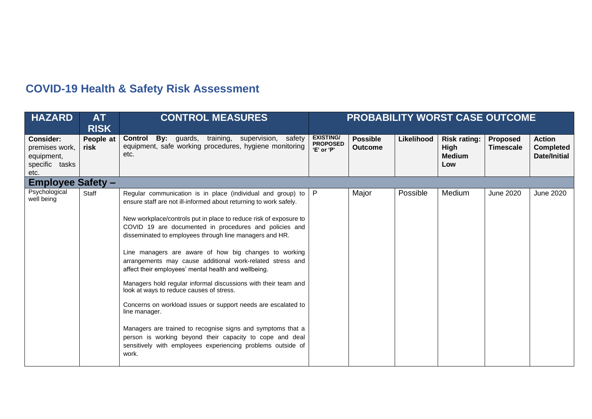# **COVID-19 Health & Safety Risk Assessment**

| <b>HAZARD</b>                                                              | <b>AT</b><br><b>RISK</b> | <b>CONTROL MEASURES</b>                                                                                                                                                                                                                                                                                                                                                                                                                                                                                                                                                                                                                                                                                                                                                                                                                                                                                           |                                                   | <b>PROBABILITY WORST CASE OUTCOME</b> |            |                                                            |                                     |                                                          |  |
|----------------------------------------------------------------------------|--------------------------|-------------------------------------------------------------------------------------------------------------------------------------------------------------------------------------------------------------------------------------------------------------------------------------------------------------------------------------------------------------------------------------------------------------------------------------------------------------------------------------------------------------------------------------------------------------------------------------------------------------------------------------------------------------------------------------------------------------------------------------------------------------------------------------------------------------------------------------------------------------------------------------------------------------------|---------------------------------------------------|---------------------------------------|------------|------------------------------------------------------------|-------------------------------------|----------------------------------------------------------|--|
| <b>Consider:</b><br>premises work,<br>equipment,<br>specific tasks<br>etc. | People at<br>risk        | <b>Control By:</b> guards, training, supervision, safety<br>equipment, safe working procedures, hygiene monitoring<br>etc.                                                                                                                                                                                                                                                                                                                                                                                                                                                                                                                                                                                                                                                                                                                                                                                        | <b>EXISTING/</b><br><b>PROPOSED</b><br>'E' or 'P' | <b>Possible</b><br><b>Outcome</b>     | Likelihood | <b>Risk rating:</b><br><b>High</b><br><b>Medium</b><br>Low | <b>Proposed</b><br><b>Timescale</b> | <b>Action</b><br><b>Completed</b><br><b>Date/Initial</b> |  |
| <b>Employee Safety -</b>                                                   |                          |                                                                                                                                                                                                                                                                                                                                                                                                                                                                                                                                                                                                                                                                                                                                                                                                                                                                                                                   |                                                   |                                       |            |                                                            |                                     |                                                          |  |
| Psychological<br>well being                                                | Staff                    | Regular communication is in place (individual and group) to $ P $<br>ensure staff are not ill-informed about returning to work safely.<br>New workplace/controls put in place to reduce risk of exposure to<br>COVID 19 are documented in procedures and policies and<br>disseminated to employees through line managers and HR.<br>Line managers are aware of how big changes to working<br>arrangements may cause additional work-related stress and<br>affect their employees' mental health and wellbeing.<br>Managers hold regular informal discussions with their team and<br>look at ways to reduce causes of stress.<br>Concerns on workload issues or support needs are escalated to<br>line manager.<br>Managers are trained to recognise signs and symptoms that a<br>person is working beyond their capacity to cope and deal<br>sensitively with employees experiencing problems outside of<br>work. |                                                   | Major                                 | Possible   | Medium                                                     | <b>June 2020</b>                    | <b>June 2020</b>                                         |  |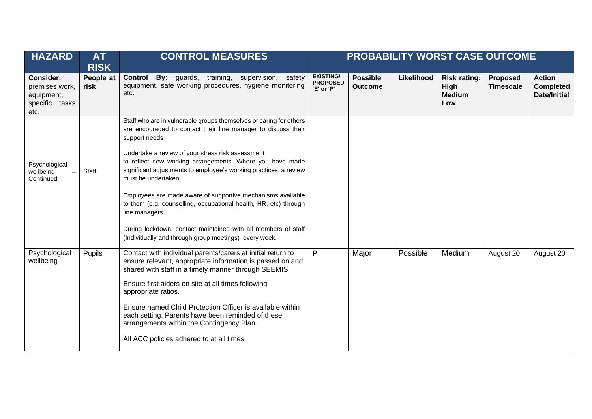| <b>HAZARD</b>                                                              | <b>AT</b><br><b>RISK</b> | <b>CONTROL MEASURES</b>                                                                                                                                                                                                                                                                                                                                                                                                                                                                                                                                                                                                                          |                                                   | PROBABILITY WORST CASE OUTCOME    |            |                                                            |                              |                                                          |  |
|----------------------------------------------------------------------------|--------------------------|--------------------------------------------------------------------------------------------------------------------------------------------------------------------------------------------------------------------------------------------------------------------------------------------------------------------------------------------------------------------------------------------------------------------------------------------------------------------------------------------------------------------------------------------------------------------------------------------------------------------------------------------------|---------------------------------------------------|-----------------------------------|------------|------------------------------------------------------------|------------------------------|----------------------------------------------------------|--|
| <b>Consider:</b><br>premises work,<br>equipment,<br>specific tasks<br>etc. | People at<br>risk        | By: guards, training, supervision, safety<br><b>Control</b><br>equipment, safe working procedures, hygiene monitoring<br>etc.                                                                                                                                                                                                                                                                                                                                                                                                                                                                                                                    | <b>EXISTING/</b><br><b>PROPOSED</b><br>'E' or 'P' | <b>Possible</b><br><b>Outcome</b> | Likelihood | <b>Risk rating:</b><br><b>High</b><br><b>Medium</b><br>Low | Proposed<br><b>Timescale</b> | <b>Action</b><br><b>Completed</b><br><b>Date/Initial</b> |  |
| Psychological<br>wellbeing<br>Continued                                    | Staff                    | Staff who are in vulnerable groups themselves or caring for others<br>are encouraged to contact their line manager to discuss their<br>support needs<br>Undertake a review of your stress risk assessment<br>to reflect new working arrangements. Where you have made<br>significant adjustments to employee's working practices, a review<br>must be undertaken.<br>Employees are made aware of supportive mechanisms available<br>to them (e.g. counselling, occupational health, HR, etc) through<br>line managers.<br>During lockdown, contact maintained with all members of staff<br>(Individually and through group meetings) every week. |                                                   |                                   |            |                                                            |                              |                                                          |  |
| Psychological<br>wellbeing                                                 | Pupils                   | Contact with individual parents/carers at initial return to<br>ensure relevant, appropriate information is passed on and<br>shared with staff in a timely manner through SEEMIS<br>Ensure first aiders on site at all times following<br>appropriate ratios.<br>Ensure named Child Protection Officer is available within<br>each setting. Parents have been reminded of these<br>arrangements within the Contingency Plan.<br>All ACC policies adhered to at all times.                                                                                                                                                                         | P                                                 | Major                             | Possible   | Medium                                                     | August 20                    | August 20                                                |  |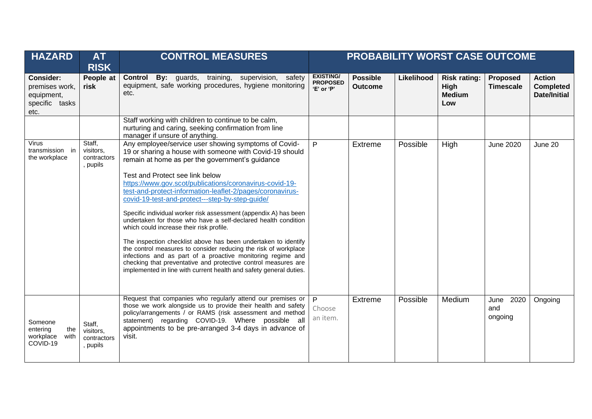| <b>HAZARD</b>                                                       | <b>AT</b><br><b>RISK</b>                       | <b>CONTROL MEASURES</b>                                                                                                                                                                                                                                                                                                                                                                                                                                                                                                                                                                                                                                                                                                                                                                                                                                                                                             | PROBABILITY WORST CASE OUTCOME                    |                                   |            |                                                            |                                |                                                          |
|---------------------------------------------------------------------|------------------------------------------------|---------------------------------------------------------------------------------------------------------------------------------------------------------------------------------------------------------------------------------------------------------------------------------------------------------------------------------------------------------------------------------------------------------------------------------------------------------------------------------------------------------------------------------------------------------------------------------------------------------------------------------------------------------------------------------------------------------------------------------------------------------------------------------------------------------------------------------------------------------------------------------------------------------------------|---------------------------------------------------|-----------------------------------|------------|------------------------------------------------------------|--------------------------------|----------------------------------------------------------|
| Consider:<br>premises work,<br>equipment,<br>specific tasks<br>etc. | People at<br>risk                              | By: guards, training, supervision, safety<br><b>Control</b><br>equipment, safe working procedures, hygiene monitoring<br>etc.                                                                                                                                                                                                                                                                                                                                                                                                                                                                                                                                                                                                                                                                                                                                                                                       | <b>EXISTING/</b><br><b>PROPOSED</b><br>'E' or 'P' | <b>Possible</b><br><b>Outcome</b> | Likelihood | <b>Risk rating:</b><br><b>High</b><br><b>Medium</b><br>Low | Proposed<br><b>Timescale</b>   | <b>Action</b><br><b>Completed</b><br><b>Date/Initial</b> |
|                                                                     |                                                | Staff working with children to continue to be calm,<br>nurturing and caring, seeking confirmation from line<br>manager if unsure of anything.                                                                                                                                                                                                                                                                                                                                                                                                                                                                                                                                                                                                                                                                                                                                                                       |                                                   |                                   |            |                                                            |                                |                                                          |
| Virus<br>transmission in<br>the workplace                           | Staff,<br>visitors,<br>contractors<br>, pupils | Any employee/service user showing symptoms of Covid-<br>P<br>19 or sharing a house with someone with Covid-19 should<br>remain at home as per the government's guidance<br>Test and Protect see link below<br>https://www.gov.scot/publications/coronavirus-covid-19-<br>test-and-protect-information-leaflet-2/pages/coronavirus-<br>covid-19-test-and-protect---step-by-step-guide/<br>Specific individual worker risk assessment (appendix A) has been<br>undertaken for those who have a self-declared health condition<br>which could increase their risk profile.<br>The inspection checklist above has been undertaken to identify<br>the control measures to consider reducing the risk of workplace<br>infections and as part of a proactive monitoring regime and<br>checking that preventative and protective control measures are<br>implemented in line with current health and safety general duties. |                                                   | Extreme                           | Possible   | High                                                       | <b>June 2020</b>               | June 20                                                  |
| Someone<br>entering<br>the<br>with<br>workplace<br>COVID-19         | Staff,<br>visitors,<br>contractors<br>, pupils | Request that companies who regularly attend our premises or<br>those we work alongside us to provide their health and safety<br>policy/arrangements / or RAMS (risk assessment and method<br>statement) regarding COVID-19. Where possible all<br>appointments to be pre-arranged 3-4 days in advance of<br>visit.                                                                                                                                                                                                                                                                                                                                                                                                                                                                                                                                                                                                  | $\overline{P}$<br>Choose<br>an item.              | Extreme                           | Possible   | Medium                                                     | June<br>2020<br>and<br>ongoing | Ongoing                                                  |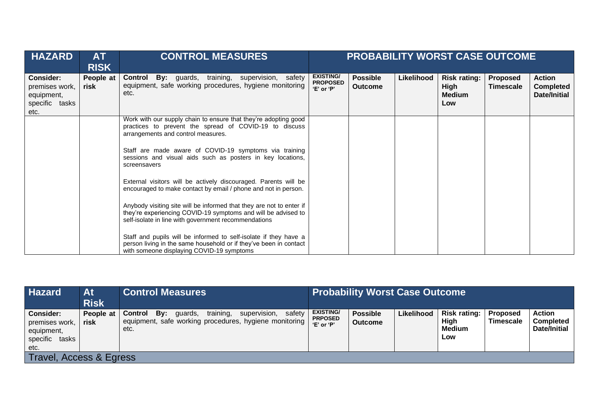| <b>HAZARD</b>                                                                 | AT<br><b>RISK</b> | <b>CONTROL MEASURES</b>                                                                                                                                                                                                                                                                                                                                                                                                                                                                                                  |                                                   |                                   |            | PROBABILITY WORST CASE OUTCOME                      |                              |                                                   |
|-------------------------------------------------------------------------------|-------------------|--------------------------------------------------------------------------------------------------------------------------------------------------------------------------------------------------------------------------------------------------------------------------------------------------------------------------------------------------------------------------------------------------------------------------------------------------------------------------------------------------------------------------|---------------------------------------------------|-----------------------------------|------------|-----------------------------------------------------|------------------------------|---------------------------------------------------|
| <b>Consider:</b><br>premises work,<br>equipment,<br>specific<br>tasks<br>etc. | People at<br>risk | <b>Control By:</b> guards, training, supervision,<br>safety<br>equipment, safe working procedures, hygiene monitoring<br>etc.                                                                                                                                                                                                                                                                                                                                                                                            | <b>EXISTING/</b><br><b>PROPOSED</b><br>'E' or 'P' | <b>Possible</b><br><b>Outcome</b> | Likelihood | <b>Risk rating:</b><br>High<br><b>Medium</b><br>Low | Proposed<br><b>Timescale</b> | <b>Action</b><br><b>Completed</b><br>Date/Initial |
|                                                                               |                   | Work with our supply chain to ensure that they're adopting good<br>practices to prevent the spread of COVID-19 to discuss<br>arrangements and control measures.<br>Staff are made aware of COVID-19 symptoms via training<br>sessions and visual aids such as posters in key locations,<br>screensavers                                                                                                                                                                                                                  |                                                   |                                   |            |                                                     |                              |                                                   |
|                                                                               |                   | External visitors will be actively discouraged. Parents will be<br>encouraged to make contact by email / phone and not in person.<br>Anybody visiting site will be informed that they are not to enter if<br>they're experiencing COVID-19 symptoms and will be advised to<br>self-isolate in line with government recommendations<br>Staff and pupils will be informed to self-isolate if they have a<br>person living in the same household or if they've been in contact<br>with someone displaying COVID-19 symptoms |                                                   |                                   |            |                                                     |                              |                                                   |

| <b>Hazard</b>                                                                 | At<br><b>Risk</b>       | <b>Control Measures</b>                                                                                                            | <b>Probability Worst Case Outcome</b>            |                                   |            |                                                     |                                     |                                            |
|-------------------------------------------------------------------------------|-------------------------|------------------------------------------------------------------------------------------------------------------------------------|--------------------------------------------------|-----------------------------------|------------|-----------------------------------------------------|-------------------------------------|--------------------------------------------|
| <b>Consider:</b><br>premises work,<br>equipment,<br>specific<br>tasks<br>etc. | People at<br>risk       | training,<br>supervision,<br>safety<br>Bv:<br>Control<br>quards,<br>equipment, safe working procedures, hygiene monitoring<br>etc. | <b>EXISTING/</b><br><b>PRPOSED</b><br>'E' or 'P' | <b>Possible</b><br><b>Outcome</b> | Likelihood | <b>Risk rating:</b><br>High<br><b>Medium</b><br>Low | <b>Proposed</b><br><b>Timescale</b> | <b>Action</b><br>Completed<br>Date/Initial |
|                                                                               | Travel, Access & Egress |                                                                                                                                    |                                                  |                                   |            |                                                     |                                     |                                            |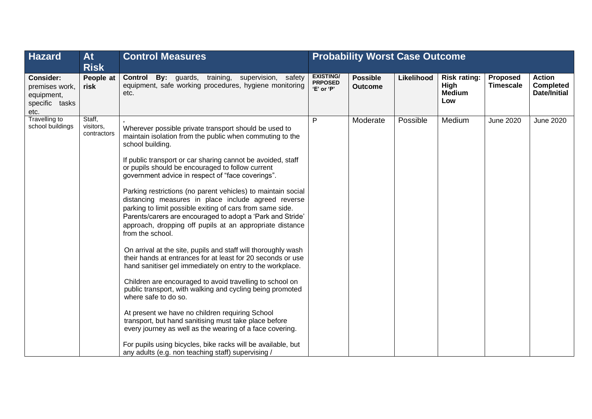| <b>Hazard</b>                                                       | <b>At</b><br><b>Risk</b>           | <b>Control Measures</b>                                                                                                                                                                                                                                                                                                        | <b>Probability Worst Case Outcome</b>            |                                   |            |                                                     |                              |                                                          |  |
|---------------------------------------------------------------------|------------------------------------|--------------------------------------------------------------------------------------------------------------------------------------------------------------------------------------------------------------------------------------------------------------------------------------------------------------------------------|--------------------------------------------------|-----------------------------------|------------|-----------------------------------------------------|------------------------------|----------------------------------------------------------|--|
| Consider:<br>premises work,<br>equipment,<br>specific tasks<br>etc. | People at<br>risk                  | <b>Control By:</b> guards, training, supervision, safety<br>equipment, safe working procedures, hygiene monitoring<br>etc.                                                                                                                                                                                                     | <b>EXISTING/</b><br><b>PRPOSED</b><br>'E' or 'P' | <b>Possible</b><br><b>Outcome</b> | Likelihood | <b>Risk rating:</b><br>High<br><b>Medium</b><br>Low | Proposed<br><b>Timescale</b> | <b>Action</b><br><b>Completed</b><br><b>Date/Initial</b> |  |
| <b>Travelling to</b><br>school buildings                            | Staff,<br>visitors,<br>contractors | Wherever possible private transport should be used to<br>maintain isolation from the public when commuting to the<br>school building.                                                                                                                                                                                          | P                                                | Moderate                          | Possible   | Medium                                              | <b>June 2020</b>             | <b>June 2020</b>                                         |  |
|                                                                     |                                    | If public transport or car sharing cannot be avoided, staff<br>or pupils should be encouraged to follow current<br>government advice in respect of "face coverings".                                                                                                                                                           |                                                  |                                   |            |                                                     |                              |                                                          |  |
|                                                                     |                                    | Parking restrictions (no parent vehicles) to maintain social<br>distancing measures in place include agreed reverse<br>parking to limit possible exiting of cars from same side.<br>Parents/carers are encouraged to adopt a 'Park and Stride'<br>approach, dropping off pupils at an appropriate distance<br>from the school. |                                                  |                                   |            |                                                     |                              |                                                          |  |
|                                                                     |                                    | On arrival at the site, pupils and staff will thoroughly wash<br>their hands at entrances for at least for 20 seconds or use<br>hand sanitiser gel immediately on entry to the workplace.                                                                                                                                      |                                                  |                                   |            |                                                     |                              |                                                          |  |
|                                                                     |                                    | Children are encouraged to avoid travelling to school on<br>public transport, with walking and cycling being promoted<br>where safe to do so.                                                                                                                                                                                  |                                                  |                                   |            |                                                     |                              |                                                          |  |
|                                                                     |                                    | At present we have no children requiring School<br>transport, but hand sanitising must take place before<br>every journey as well as the wearing of a face covering.                                                                                                                                                           |                                                  |                                   |            |                                                     |                              |                                                          |  |
|                                                                     |                                    | For pupils using bicycles, bike racks will be available, but<br>any adults (e.g. non teaching staff) supervising /                                                                                                                                                                                                             |                                                  |                                   |            |                                                     |                              |                                                          |  |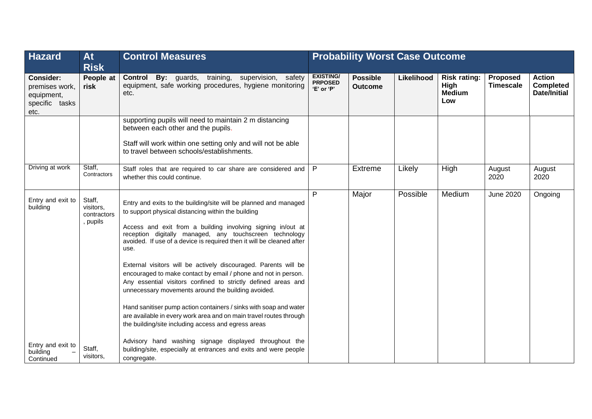| <b>Hazard</b>                                                       | <b>At</b><br><b>Risk</b>                       | <b>Control Measures</b>                                                                                                                                                                                                                                                                                                                                                                                                                                                                                                                                                                                                                                                                                                                                                                              | <b>Probability Worst Case Outcome</b>            |                                   |            |                                                     |                              |                                                   |
|---------------------------------------------------------------------|------------------------------------------------|------------------------------------------------------------------------------------------------------------------------------------------------------------------------------------------------------------------------------------------------------------------------------------------------------------------------------------------------------------------------------------------------------------------------------------------------------------------------------------------------------------------------------------------------------------------------------------------------------------------------------------------------------------------------------------------------------------------------------------------------------------------------------------------------------|--------------------------------------------------|-----------------------------------|------------|-----------------------------------------------------|------------------------------|---------------------------------------------------|
| Consider:<br>premises work,<br>equipment,<br>specific tasks<br>etc. | People at<br>risk                              | By: guards, training, supervision, safety<br><b>Control</b><br>equipment, safe working procedures, hygiene monitoring<br>etc.                                                                                                                                                                                                                                                                                                                                                                                                                                                                                                                                                                                                                                                                        | <b>EXISTING/</b><br><b>PRPOSED</b><br>'E' or 'P' | <b>Possible</b><br><b>Outcome</b> | Likelihood | <b>Risk rating:</b><br>High<br><b>Medium</b><br>Low | Proposed<br><b>Timescale</b> | <b>Action</b><br><b>Completed</b><br>Date/Initial |
|                                                                     |                                                | supporting pupils will need to maintain 2 m distancing<br>between each other and the pupils.<br>Staff will work within one setting only and will not be able<br>to travel between schools/establishments.                                                                                                                                                                                                                                                                                                                                                                                                                                                                                                                                                                                            |                                                  |                                   |            |                                                     |                              |                                                   |
| Driving at work                                                     | Staff,<br>Contractors                          | Staff roles that are required to car share are considered and<br>whether this could continue.                                                                                                                                                                                                                                                                                                                                                                                                                                                                                                                                                                                                                                                                                                        | P                                                | <b>Extreme</b>                    | Likely     | High                                                | August<br>2020               | August<br>2020                                    |
| Entry and exit to<br>building                                       | Staff,<br>visitors,<br>contractors<br>, pupils | P<br>Entry and exits to the building/site will be planned and managed<br>to support physical distancing within the building<br>Access and exit from a building involving signing in/out at<br>reception digitally managed, any touchscreen technology<br>avoided. If use of a device is required then it will be cleaned after<br>use.<br>External visitors will be actively discouraged. Parents will be<br>encouraged to make contact by email / phone and not in person.<br>Any essential visitors confined to strictly defined areas and<br>unnecessary movements around the building avoided.<br>Hand sanitiser pump action containers / sinks with soap and water<br>are available in every work area and on main travel routes through<br>the building/site including access and egress areas |                                                  | Major                             | Possible   | Medium                                              | <b>June 2020</b>             | Ongoing                                           |
| Entry and exit to<br>building<br>Continued                          | Staff,<br>visitors,                            | Advisory hand washing signage displayed throughout the<br>building/site, especially at entrances and exits and were people<br>congregate.                                                                                                                                                                                                                                                                                                                                                                                                                                                                                                                                                                                                                                                            |                                                  |                                   |            |                                                     |                              |                                                   |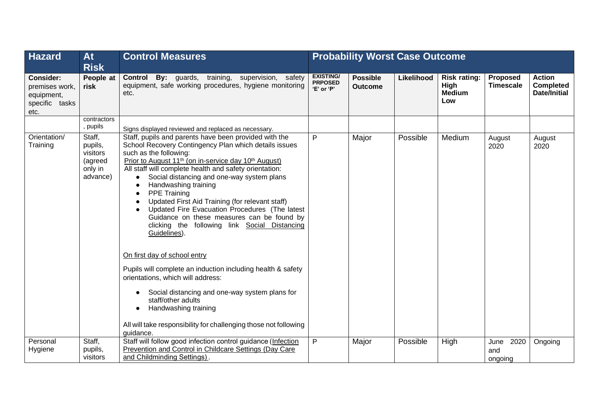| <b>Hazard</b>                                                              | <b>At</b><br><b>Risk</b>                                        | <b>Control Measures</b>                                                                                                                                                                                                                                                                                                                                                                                                                                                                                                                                                                                                                                                                                                                                                                                                                                                                                                                  |                                                  | <b>Probability Worst Case Outcome</b> |            |                                                     |                                |                                                   |  |  |
|----------------------------------------------------------------------------|-----------------------------------------------------------------|------------------------------------------------------------------------------------------------------------------------------------------------------------------------------------------------------------------------------------------------------------------------------------------------------------------------------------------------------------------------------------------------------------------------------------------------------------------------------------------------------------------------------------------------------------------------------------------------------------------------------------------------------------------------------------------------------------------------------------------------------------------------------------------------------------------------------------------------------------------------------------------------------------------------------------------|--------------------------------------------------|---------------------------------------|------------|-----------------------------------------------------|--------------------------------|---------------------------------------------------|--|--|
| <b>Consider:</b><br>premises work,<br>equipment,<br>specific tasks<br>etc. | People at<br>risk                                               | By: guards, training, supervision, safety<br><b>Control</b><br>equipment, safe working procedures, hygiene monitoring<br>etc.                                                                                                                                                                                                                                                                                                                                                                                                                                                                                                                                                                                                                                                                                                                                                                                                            | <b>EXISTING/</b><br><b>PRPOSED</b><br>'E' or 'P' | <b>Possible</b><br><b>Outcome</b>     | Likelihood | <b>Risk rating:</b><br>High<br><b>Medium</b><br>Low | Proposed<br><b>Timescale</b>   | <b>Action</b><br><b>Completed</b><br>Date/Initial |  |  |
|                                                                            | contractors<br>, pupils                                         | Signs displayed reviewed and replaced as necessary.                                                                                                                                                                                                                                                                                                                                                                                                                                                                                                                                                                                                                                                                                                                                                                                                                                                                                      |                                                  |                                       |            |                                                     |                                |                                                   |  |  |
| Orientation/<br>Training                                                   | Staff,<br>pupils,<br>visitors<br>(agreed<br>only in<br>advance) | $\mathsf{P}$<br>Staff, pupils and parents have been provided with the<br>School Recovery Contingency Plan which details issues<br>such as the following:<br>Prior to August 11 <sup>th</sup> (on in-service day 10 <sup>th</sup> August)<br>All staff will complete health and safety orientation:<br>Social distancing and one-way system plans<br>Handwashing training<br><b>PPE Training</b><br>Updated First Aid Training (for relevant staff)<br>Updated Fire Evacuation Procedures (The latest<br>Guidance on these measures can be found by<br>clicking the following link Social Distancing<br>Guidelines).<br>On first day of school entry<br>Pupils will complete an induction including health & safety<br>orientations, which will address:<br>Social distancing and one-way system plans for<br>$\bullet$<br>staff/other adults<br>Handwashing training<br>All will take responsibility for challenging those not following |                                                  | Major                                 | Possible   | Medium                                              | August<br>2020                 | August<br>2020                                    |  |  |
| Personal<br>Hygiene                                                        | Staff,<br>pupils,<br>visitors                                   | Staff will follow good infection control guidance (Infection<br>Prevention and Control in Childcare Settings (Day Care<br>and Childminding Settings).                                                                                                                                                                                                                                                                                                                                                                                                                                                                                                                                                                                                                                                                                                                                                                                    | P                                                | Major                                 | Possible   | High                                                | 2020<br>June<br>and<br>ongoing | Ongoing                                           |  |  |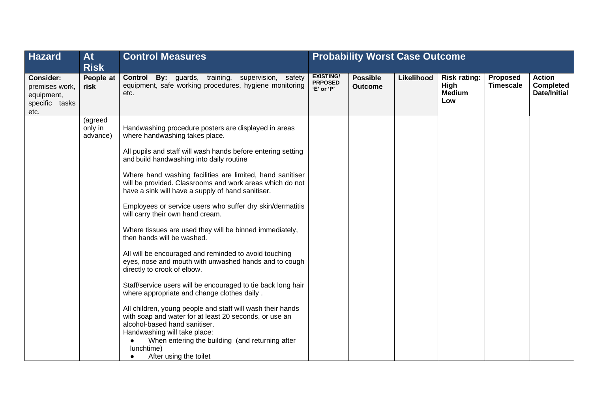| <b>Hazard</b>                                                              | <b>At</b><br><b>Risk</b>       | <b>Control Measures</b>                                                                                                                                                                                                                                                                       | <b>Probability Worst Case Outcome</b>            |                                   |            |                                                     |                                     |                                                   |
|----------------------------------------------------------------------------|--------------------------------|-----------------------------------------------------------------------------------------------------------------------------------------------------------------------------------------------------------------------------------------------------------------------------------------------|--------------------------------------------------|-----------------------------------|------------|-----------------------------------------------------|-------------------------------------|---------------------------------------------------|
| <b>Consider:</b><br>premises work,<br>equipment,<br>specific tasks<br>etc. | People at<br>risk              | <b>Control By:</b> guards, training, supervision, safety<br>equipment, safe working procedures, hygiene monitoring<br>etc.                                                                                                                                                                    | <b>EXISTING/</b><br><b>PRPOSED</b><br>'E' or 'P' | <b>Possible</b><br><b>Outcome</b> | Likelihood | <b>Risk rating:</b><br>High<br><b>Medium</b><br>Low | <b>Proposed</b><br><b>Timescale</b> | <b>Action</b><br><b>Completed</b><br>Date/Initial |
|                                                                            | (agreed<br>only in<br>advance) | Handwashing procedure posters are displayed in areas<br>where handwashing takes place.                                                                                                                                                                                                        |                                                  |                                   |            |                                                     |                                     |                                                   |
|                                                                            |                                | All pupils and staff will wash hands before entering setting<br>and build handwashing into daily routine                                                                                                                                                                                      |                                                  |                                   |            |                                                     |                                     |                                                   |
|                                                                            |                                | Where hand washing facilities are limited, hand sanitiser<br>will be provided. Classrooms and work areas which do not<br>have a sink will have a supply of hand sanitiser.                                                                                                                    |                                                  |                                   |            |                                                     |                                     |                                                   |
|                                                                            |                                | Employees or service users who suffer dry skin/dermatitis<br>will carry their own hand cream.                                                                                                                                                                                                 |                                                  |                                   |            |                                                     |                                     |                                                   |
|                                                                            |                                | Where tissues are used they will be binned immediately,<br>then hands will be washed.                                                                                                                                                                                                         |                                                  |                                   |            |                                                     |                                     |                                                   |
|                                                                            |                                | All will be encouraged and reminded to avoid touching<br>eyes, nose and mouth with unwashed hands and to cough<br>directly to crook of elbow.                                                                                                                                                 |                                                  |                                   |            |                                                     |                                     |                                                   |
|                                                                            |                                | Staff/service users will be encouraged to tie back long hair<br>where appropriate and change clothes daily.                                                                                                                                                                                   |                                                  |                                   |            |                                                     |                                     |                                                   |
|                                                                            |                                | All children, young people and staff will wash their hands<br>with soap and water for at least 20 seconds, or use an<br>alcohol-based hand sanitiser.<br>Handwashing will take place:<br>When entering the building (and returning after<br>lunchtime)<br>After using the toilet<br>$\bullet$ |                                                  |                                   |            |                                                     |                                     |                                                   |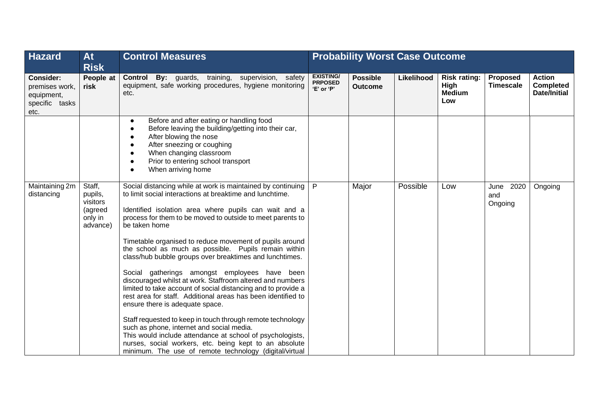| <b>Hazard</b>                                                              | At<br><b>Risk</b>                                               | <b>Control Measures</b>                                                                                                                                                                                                                                                                                                                                                                                                                                                                                                                                                                                                                                                                                                                                                                                                                                                                                                                                                                                                     | <b>Probability Worst Case Outcome</b>            |                                   |            |                                                     |                                |                                                   |  |
|----------------------------------------------------------------------------|-----------------------------------------------------------------|-----------------------------------------------------------------------------------------------------------------------------------------------------------------------------------------------------------------------------------------------------------------------------------------------------------------------------------------------------------------------------------------------------------------------------------------------------------------------------------------------------------------------------------------------------------------------------------------------------------------------------------------------------------------------------------------------------------------------------------------------------------------------------------------------------------------------------------------------------------------------------------------------------------------------------------------------------------------------------------------------------------------------------|--------------------------------------------------|-----------------------------------|------------|-----------------------------------------------------|--------------------------------|---------------------------------------------------|--|
| <b>Consider:</b><br>premises work,<br>equipment,<br>specific tasks<br>etc. | People at<br>risk                                               | By: guards, training, supervision, safety<br>Control<br>equipment, safe working procedures, hygiene monitoring<br>etc.                                                                                                                                                                                                                                                                                                                                                                                                                                                                                                                                                                                                                                                                                                                                                                                                                                                                                                      | <b>EXISTING/</b><br><b>PRPOSED</b><br>'E' or 'P' | <b>Possible</b><br><b>Outcome</b> | Likelihood | <b>Risk rating:</b><br>High<br><b>Medium</b><br>Low | Proposed<br><b>Timescale</b>   | <b>Action</b><br><b>Completed</b><br>Date/Initial |  |
|                                                                            |                                                                 | Before and after eating or handling food<br>$\bullet$<br>Before leaving the building/getting into their car,<br>$\bullet$<br>After blowing the nose<br>$\bullet$<br>After sneezing or coughing<br>$\bullet$<br>When changing classroom<br>$\bullet$<br>Prior to entering school transport<br>When arriving home                                                                                                                                                                                                                                                                                                                                                                                                                                                                                                                                                                                                                                                                                                             |                                                  |                                   |            |                                                     |                                |                                                   |  |
| Maintaining 2m<br>distancing                                               | Staff,<br>pupils,<br>visitors<br>(agreed<br>only in<br>advance) | Social distancing while at work is maintained by continuing<br>to limit social interactions at breaktime and lunchtime.<br>Identified isolation area where pupils can wait and a<br>process for them to be moved to outside to meet parents to<br>be taken home<br>Timetable organised to reduce movement of pupils around<br>the school as much as possible. Pupils remain within<br>class/hub bubble groups over breaktimes and lunchtimes.<br>Social gatherings amongst employees have been<br>discouraged whilst at work. Staffroom altered and numbers<br>limited to take account of social distancing and to provide a<br>rest area for staff. Additional areas has been identified to<br>ensure there is adequate space.<br>Staff requested to keep in touch through remote technology<br>such as phone, internet and social media.<br>This would include attendance at school of psychologists,<br>nurses, social workers, etc. being kept to an absolute<br>minimum. The use of remote technology (digital/virtual | P                                                | Major                             | Possible   | Low                                                 | 2020<br>June<br>and<br>Ongoing | Ongoing                                           |  |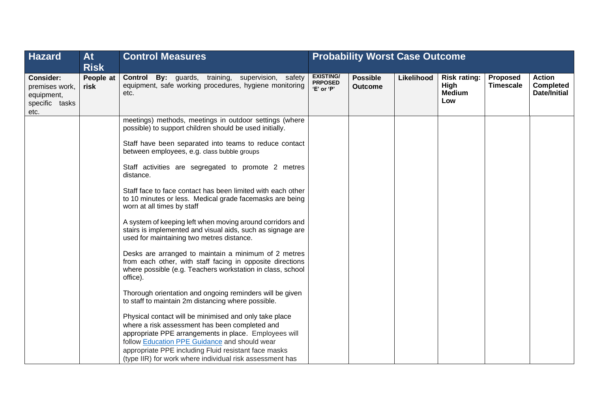| <b>Hazard</b>                                                       | <b>At</b><br><b>Risk</b> | <b>Control Measures</b>                                                                                                                                                                                                                                                                                                                                                                                                                                                                                                                                                                                                                                                                                                                                                                                                                                                                                                                                                                                                                                      | <b>Probability Worst Case Outcome</b>            |                                   |            |                                                     |                                     |                                                   |
|---------------------------------------------------------------------|--------------------------|--------------------------------------------------------------------------------------------------------------------------------------------------------------------------------------------------------------------------------------------------------------------------------------------------------------------------------------------------------------------------------------------------------------------------------------------------------------------------------------------------------------------------------------------------------------------------------------------------------------------------------------------------------------------------------------------------------------------------------------------------------------------------------------------------------------------------------------------------------------------------------------------------------------------------------------------------------------------------------------------------------------------------------------------------------------|--------------------------------------------------|-----------------------------------|------------|-----------------------------------------------------|-------------------------------------|---------------------------------------------------|
| Consider:<br>premises work,<br>equipment,<br>specific tasks<br>etc. | People at<br>risk        | <b>Control By:</b> guards, training, supervision, safety<br>equipment, safe working procedures, hygiene monitoring<br>etc.                                                                                                                                                                                                                                                                                                                                                                                                                                                                                                                                                                                                                                                                                                                                                                                                                                                                                                                                   | <b>EXISTING/</b><br><b>PRPOSED</b><br>'E' or 'P' | <b>Possible</b><br><b>Outcome</b> | Likelihood | <b>Risk rating:</b><br>High<br><b>Medium</b><br>Low | <b>Proposed</b><br><b>Timescale</b> | <b>Action</b><br><b>Completed</b><br>Date/Initial |
|                                                                     |                          | meetings) methods, meetings in outdoor settings (where<br>possible) to support children should be used initially.<br>Staff have been separated into teams to reduce contact<br>between employees, e.g. class bubble groups<br>Staff activities are segregated to promote 2 metres<br>distance.<br>Staff face to face contact has been limited with each other<br>to 10 minutes or less. Medical grade facemasks are being<br>worn at all times by staff<br>A system of keeping left when moving around corridors and<br>stairs is implemented and visual aids, such as signage are<br>used for maintaining two metres distance.<br>Desks are arranged to maintain a minimum of 2 metres<br>from each other, with staff facing in opposite directions<br>where possible (e.g. Teachers workstation in class, school<br>office).<br>Thorough orientation and ongoing reminders will be given<br>to staff to maintain 2m distancing where possible.<br>Physical contact will be minimised and only take place<br>where a risk assessment has been completed and |                                                  |                                   |            |                                                     |                                     |                                                   |
|                                                                     |                          | appropriate PPE arrangements in place. Employees will<br>follow Education PPE Guidance and should wear<br>appropriate PPE including Fluid resistant face masks<br>(type IIR) for work where individual risk assessment has                                                                                                                                                                                                                                                                                                                                                                                                                                                                                                                                                                                                                                                                                                                                                                                                                                   |                                                  |                                   |            |                                                     |                                     |                                                   |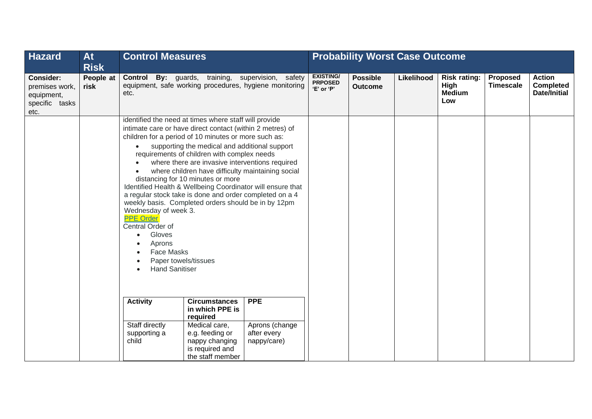| <b>Hazard</b>                                                              | <b>At</b><br><b>Risk</b> |                                                                                                                                                                                                                                                                                                                                                                                                                                                                                                                                                                                                                                                                                                                                                                                                                       | <b>Control Measures</b> |                                                                                                             |                                                  | <b>Probability Worst Case Outcome</b> |            |                                                     |                              |                                                   |  |
|----------------------------------------------------------------------------|--------------------------|-----------------------------------------------------------------------------------------------------------------------------------------------------------------------------------------------------------------------------------------------------------------------------------------------------------------------------------------------------------------------------------------------------------------------------------------------------------------------------------------------------------------------------------------------------------------------------------------------------------------------------------------------------------------------------------------------------------------------------------------------------------------------------------------------------------------------|-------------------------|-------------------------------------------------------------------------------------------------------------|--------------------------------------------------|---------------------------------------|------------|-----------------------------------------------------|------------------------------|---------------------------------------------------|--|
| <b>Consider:</b><br>premises work,<br>equipment,<br>specific tasks<br>etc. | People at<br>risk        | etc.                                                                                                                                                                                                                                                                                                                                                                                                                                                                                                                                                                                                                                                                                                                                                                                                                  |                         | Control By: guards, training, supervision, safety<br>equipment, safe working procedures, hygiene monitoring | <b>EXISTING/</b><br><b>PRPOSED</b><br>'E' or 'P' | <b>Possible</b><br><b>Outcome</b>     | Likelihood | <b>Risk rating:</b><br>High<br><b>Medium</b><br>Low | Proposed<br><b>Timescale</b> | <b>Action</b><br><b>Completed</b><br>Date/Initial |  |
|                                                                            |                          | identified the need at times where staff will provide<br>intimate care or have direct contact (within 2 metres) of<br>children for a period of 10 minutes or more such as:<br>supporting the medical and additional support<br>requirements of children with complex needs<br>where there are invasive interventions required<br>where children have difficulty maintaining social<br>distancing for 10 minutes or more<br>Identified Health & Wellbeing Coordinator will ensure that<br>a regular stock take is done and order completed on a 4<br>weekly basis. Completed orders should be in by 12pm<br>Wednesday of week 3.<br><b>PPE Order</b><br>Central Order of<br>Gloves<br>$\bullet$<br>Aprons<br><b>Face Masks</b><br>$\bullet$<br>Paper towels/tissues<br>$\bullet$<br><b>Hand Sanitiser</b><br>$\bullet$ |                         |                                                                                                             |                                                  |                                       |            |                                                     |                              |                                                   |  |
|                                                                            |                          | <b>Activity</b><br><b>Circumstances</b><br><b>PPE</b><br>in which PPE is<br>required<br>Staff directly<br>Medical care,<br>Aprons (change<br>after every<br>supporting a<br>e.g. feeding or<br>child<br>nappy changing<br>nappy/care)<br>is required and<br>the staff member                                                                                                                                                                                                                                                                                                                                                                                                                                                                                                                                          |                         |                                                                                                             |                                                  |                                       |            |                                                     |                              |                                                   |  |
|                                                                            |                          |                                                                                                                                                                                                                                                                                                                                                                                                                                                                                                                                                                                                                                                                                                                                                                                                                       |                         |                                                                                                             |                                                  |                                       |            |                                                     |                              |                                                   |  |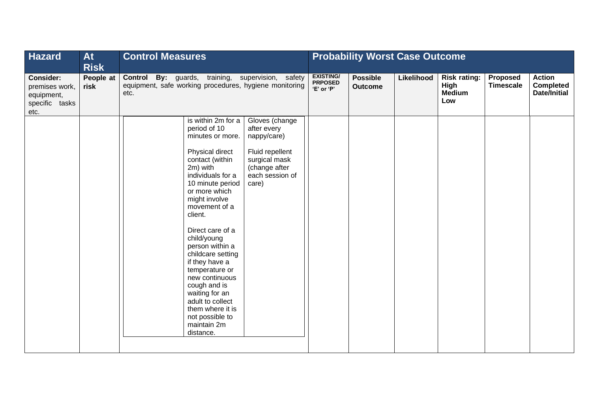| <b>Hazard</b>                                                              | <b>At</b><br><b>Risk</b> | <b>Control Measures</b>                                                                                                                                                                                                                                                                                                                                                                                                                                                   |                                                                                                                               | <b>Probability Worst Case Outcome</b> |            |                                                     |                              |                                                   |  |
|----------------------------------------------------------------------------|--------------------------|---------------------------------------------------------------------------------------------------------------------------------------------------------------------------------------------------------------------------------------------------------------------------------------------------------------------------------------------------------------------------------------------------------------------------------------------------------------------------|-------------------------------------------------------------------------------------------------------------------------------|---------------------------------------|------------|-----------------------------------------------------|------------------------------|---------------------------------------------------|--|
| <b>Consider:</b><br>premises work,<br>equipment,<br>specific tasks<br>etc. | People at<br>risk        | Control By: guards, training, supervision, safety<br>equipment, safe working procedures, hygiene monitoring<br>etc.                                                                                                                                                                                                                                                                                                                                                       | <b>EXISTING/</b><br><b>PRPOSED</b><br>'E' or 'P'                                                                              | <b>Possible</b><br><b>Outcome</b>     | Likelihood | <b>Risk rating:</b><br>High<br><b>Medium</b><br>Low | Proposed<br><b>Timescale</b> | <b>Action</b><br><b>Completed</b><br>Date/Initial |  |
|                                                                            |                          | is within 2m for a<br>period of 10<br>minutes or more.<br>Physical direct<br>contact (within<br>2m) with<br>individuals for a<br>10 minute period<br>or more which<br>might involve<br>movement of a<br>client.<br>Direct care of a<br>child/young<br>person within a<br>childcare setting<br>if they have a<br>temperature or<br>new continuous<br>cough and is<br>waiting for an<br>adult to collect<br>them where it is<br>not possible to<br>maintain 2m<br>distance. | Gloves (change<br>after every<br>nappy/care)<br>Fluid repellent<br>surgical mask<br>(change after<br>each session of<br>care) |                                       |            |                                                     |                              |                                                   |  |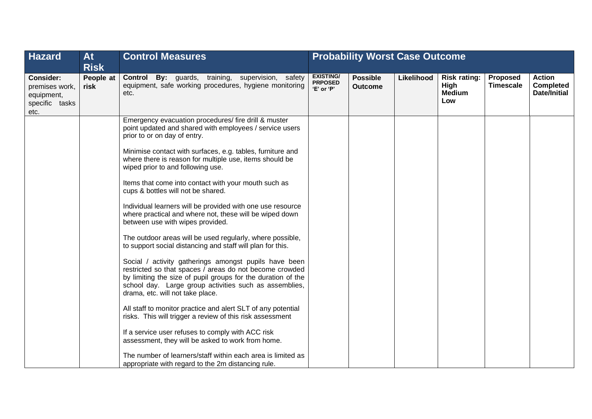| <b>Hazard</b>                                                              | At<br><b>Risk</b> | <b>Control Measures</b>                                                                                                                                                                                                                                                        |                                                  | <b>Probability Worst Case Outcome</b> |            |                                                     |                                     |                                                          |
|----------------------------------------------------------------------------|-------------------|--------------------------------------------------------------------------------------------------------------------------------------------------------------------------------------------------------------------------------------------------------------------------------|--------------------------------------------------|---------------------------------------|------------|-----------------------------------------------------|-------------------------------------|----------------------------------------------------------|
| <b>Consider:</b><br>premises work,<br>equipment,<br>specific tasks<br>etc. | People at<br>risk | <b>Control By:</b> guards, training, supervision, safety<br>equipment, safe working procedures, hygiene monitoring<br>etc.                                                                                                                                                     | <b>EXISTING/</b><br><b>PRPOSED</b><br>'E' or 'P' | <b>Possible</b><br><b>Outcome</b>     | Likelihood | <b>Risk rating:</b><br>High<br><b>Medium</b><br>Low | <b>Proposed</b><br><b>Timescale</b> | <b>Action</b><br><b>Completed</b><br><b>Date/Initial</b> |
|                                                                            |                   | Emergency evacuation procedures/ fire drill & muster<br>point updated and shared with employees / service users<br>prior to or on day of entry.<br>Minimise contact with surfaces, e.g. tables, furniture and                                                                  |                                                  |                                       |            |                                                     |                                     |                                                          |
|                                                                            |                   | where there is reason for multiple use, items should be<br>wiped prior to and following use.                                                                                                                                                                                   |                                                  |                                       |            |                                                     |                                     |                                                          |
|                                                                            |                   | Items that come into contact with your mouth such as<br>cups & bottles will not be shared.                                                                                                                                                                                     |                                                  |                                       |            |                                                     |                                     |                                                          |
|                                                                            |                   | Individual learners will be provided with one use resource<br>where practical and where not, these will be wiped down<br>between use with wipes provided.                                                                                                                      |                                                  |                                       |            |                                                     |                                     |                                                          |
|                                                                            |                   | The outdoor areas will be used regularly, where possible,<br>to support social distancing and staff will plan for this.                                                                                                                                                        |                                                  |                                       |            |                                                     |                                     |                                                          |
|                                                                            |                   | Social / activity gatherings amongst pupils have been<br>restricted so that spaces / areas do not become crowded<br>by limiting the size of pupil groups for the duration of the<br>school day. Large group activities such as assemblies,<br>drama, etc. will not take place. |                                                  |                                       |            |                                                     |                                     |                                                          |
|                                                                            |                   | All staff to monitor practice and alert SLT of any potential<br>risks. This will trigger a review of this risk assessment                                                                                                                                                      |                                                  |                                       |            |                                                     |                                     |                                                          |
|                                                                            |                   | If a service user refuses to comply with ACC risk<br>assessment, they will be asked to work from home.                                                                                                                                                                         |                                                  |                                       |            |                                                     |                                     |                                                          |
|                                                                            |                   | The number of learners/staff within each area is limited as<br>appropriate with regard to the 2m distancing rule.                                                                                                                                                              |                                                  |                                       |            |                                                     |                                     |                                                          |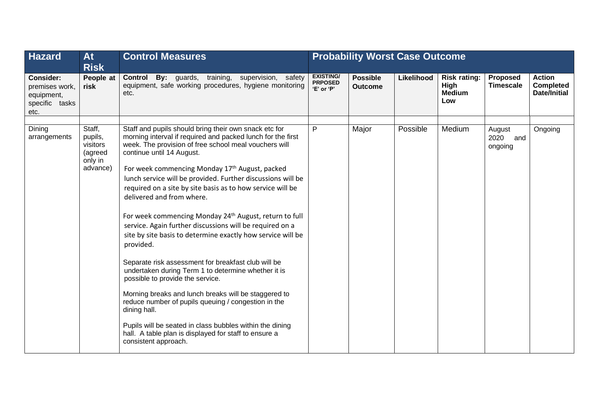| <b>Hazard</b>                                                              | <b>At</b><br><b>Risk</b>                                        | <b>Control Measures</b>                                                                                                                                                                                                                                                                                                                                                                                                                                                                                                                                                                                                                                                                                                                                                                                                                                                                                                                                                                                                                                            |                                                  | <b>Probability Worst Case Outcome</b> |            |                                                     |                                  |                                                   |
|----------------------------------------------------------------------------|-----------------------------------------------------------------|--------------------------------------------------------------------------------------------------------------------------------------------------------------------------------------------------------------------------------------------------------------------------------------------------------------------------------------------------------------------------------------------------------------------------------------------------------------------------------------------------------------------------------------------------------------------------------------------------------------------------------------------------------------------------------------------------------------------------------------------------------------------------------------------------------------------------------------------------------------------------------------------------------------------------------------------------------------------------------------------------------------------------------------------------------------------|--------------------------------------------------|---------------------------------------|------------|-----------------------------------------------------|----------------------------------|---------------------------------------------------|
| <b>Consider:</b><br>premises work,<br>equipment,<br>specific tasks<br>etc. | People at<br>risk                                               | <b>Control By:</b> guards, training, supervision, safety<br>equipment, safe working procedures, hygiene monitoring<br>etc.                                                                                                                                                                                                                                                                                                                                                                                                                                                                                                                                                                                                                                                                                                                                                                                                                                                                                                                                         | <b>EXISTING/</b><br><b>PRPOSED</b><br>'E' or 'P' | <b>Possible</b><br><b>Outcome</b>     | Likelihood | <b>Risk rating:</b><br>High<br><b>Medium</b><br>Low | Proposed<br><b>Timescale</b>     | <b>Action</b><br><b>Completed</b><br>Date/Initial |
| Dining<br>arrangements                                                     | Staff,<br>pupils,<br>visitors<br>(agreed<br>only in<br>advance) | Staff and pupils should bring their own snack etc for<br>morning interval if required and packed lunch for the first<br>week. The provision of free school meal vouchers will<br>continue until 14 August.<br>For week commencing Monday 17th August, packed<br>lunch service will be provided. Further discussions will be<br>required on a site by site basis as to how service will be<br>delivered and from where.<br>For week commencing Monday 24 <sup>th</sup> August, return to full<br>service. Again further discussions will be required on a<br>site by site basis to determine exactly how service will be<br>provided.<br>Separate risk assessment for breakfast club will be<br>undertaken during Term 1 to determine whether it is<br>possible to provide the service.<br>Morning breaks and lunch breaks will be staggered to<br>reduce number of pupils queuing / congestion in the<br>dining hall.<br>Pupils will be seated in class bubbles within the dining<br>hall. A table plan is displayed for staff to ensure a<br>consistent approach. | P                                                | Major                                 | Possible   | Medium                                              | August<br>2020<br>and<br>ongoing | Ongoing                                           |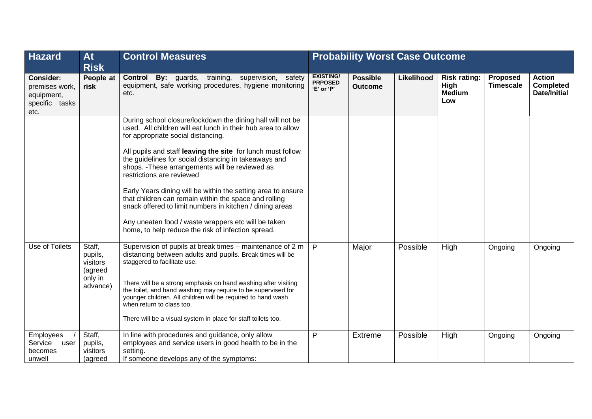| <b>Hazard</b>                                                              | <b>At</b><br><b>Risk</b>                                        | <b>Control Measures</b>                                                                                                                                                                                                                                                                                                                                                                                                                                                                                                                                                                                                                                                    |                                                  | <b>Probability Worst Case Outcome</b> |            |                                                     |                              |                                                   |
|----------------------------------------------------------------------------|-----------------------------------------------------------------|----------------------------------------------------------------------------------------------------------------------------------------------------------------------------------------------------------------------------------------------------------------------------------------------------------------------------------------------------------------------------------------------------------------------------------------------------------------------------------------------------------------------------------------------------------------------------------------------------------------------------------------------------------------------------|--------------------------------------------------|---------------------------------------|------------|-----------------------------------------------------|------------------------------|---------------------------------------------------|
| <b>Consider:</b><br>premises work,<br>equipment,<br>specific tasks<br>etc. | People at<br>risk                                               | By: guards, training, supervision, safety<br><b>Control</b><br>equipment, safe working procedures, hygiene monitoring<br>etc.                                                                                                                                                                                                                                                                                                                                                                                                                                                                                                                                              | <b>EXISTING/</b><br><b>PRPOSED</b><br>'E' or 'P' | <b>Possible</b><br><b>Outcome</b>     | Likelihood | <b>Risk rating:</b><br>High<br><b>Medium</b><br>Low | Proposed<br><b>Timescale</b> | <b>Action</b><br><b>Completed</b><br>Date/Initial |
|                                                                            |                                                                 | During school closure/lockdown the dining hall will not be<br>used. All children will eat lunch in their hub area to allow<br>for appropriate social distancing.<br>All pupils and staff leaving the site for lunch must follow<br>the guidelines for social distancing in takeaways and<br>shops. - These arrangements will be reviewed as<br>restrictions are reviewed<br>Early Years dining will be within the setting area to ensure<br>that children can remain within the space and rolling<br>snack offered to limit numbers in kitchen / dining areas<br>Any uneaten food / waste wrappers etc will be taken<br>home, to help reduce the risk of infection spread. |                                                  |                                       |            |                                                     |                              |                                                   |
| Use of Toilets                                                             | Staff,<br>pupils,<br>visitors<br>(agreed<br>only in<br>advance) | Supervision of pupils at break times – maintenance of 2 m<br>distancing between adults and pupils. Break times will be<br>staggered to facilitate use.<br>There will be a strong emphasis on hand washing after visiting<br>the toilet, and hand washing may require to be supervised for<br>younger children. All children will be required to hand wash<br>when return to class too.<br>There will be a visual system in place for staff toilets too.                                                                                                                                                                                                                    | $\mathsf{P}$                                     | Major                                 | Possible   | High                                                | Ongoing                      | Ongoing                                           |
| Employees<br>Service<br>user<br>becomes<br>unwell                          | Staff,<br>pupils,<br>visitors<br>(agreed                        | In line with procedures and guidance, only allow<br>employees and service users in good health to be in the<br>setting.<br>If someone develops any of the symptoms:                                                                                                                                                                                                                                                                                                                                                                                                                                                                                                        | P                                                | <b>Extreme</b>                        | Possible   | High                                                | Ongoing                      | Ongoing                                           |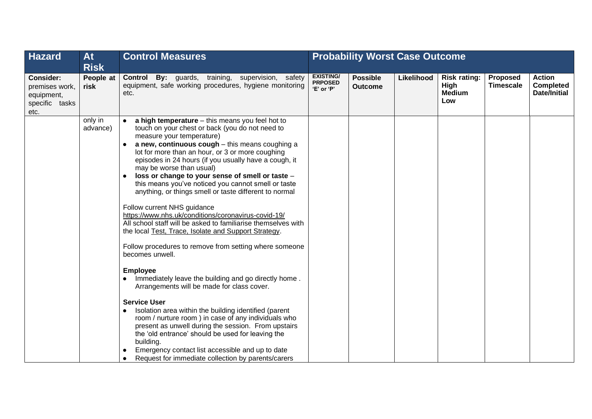| <b>Hazard</b>                                                              | <b>At</b><br><b>Risk</b> | <b>Control Measures</b>                                                                                                                                                                                                                                                                                                                                                                                                                                                                                                                                                                                                                                                                                                                                                                                                                                                                                                                                                                                                                                                                                                                                                                                                                                                                                                                              |                                                  | <b>Probability Worst Case Outcome</b> |            |                                                     |                              |                                                   |
|----------------------------------------------------------------------------|--------------------------|------------------------------------------------------------------------------------------------------------------------------------------------------------------------------------------------------------------------------------------------------------------------------------------------------------------------------------------------------------------------------------------------------------------------------------------------------------------------------------------------------------------------------------------------------------------------------------------------------------------------------------------------------------------------------------------------------------------------------------------------------------------------------------------------------------------------------------------------------------------------------------------------------------------------------------------------------------------------------------------------------------------------------------------------------------------------------------------------------------------------------------------------------------------------------------------------------------------------------------------------------------------------------------------------------------------------------------------------------|--------------------------------------------------|---------------------------------------|------------|-----------------------------------------------------|------------------------------|---------------------------------------------------|
| <b>Consider:</b><br>premises work,<br>equipment,<br>specific tasks<br>etc. | People at<br>risk        | <b>Control By:</b> guards, training, supervision, safety<br>equipment, safe working procedures, hygiene monitoring<br>etc.                                                                                                                                                                                                                                                                                                                                                                                                                                                                                                                                                                                                                                                                                                                                                                                                                                                                                                                                                                                                                                                                                                                                                                                                                           | <b>EXISTING/</b><br><b>PRPOSED</b><br>'E' or 'P' | <b>Possible</b><br><b>Outcome</b>     | Likelihood | <b>Risk rating:</b><br>High<br><b>Medium</b><br>Low | Proposed<br><b>Timescale</b> | <b>Action</b><br><b>Completed</b><br>Date/Initial |
|                                                                            | only in<br>advance)      | a high temperature - this means you feel hot to<br>$\bullet$<br>touch on your chest or back (you do not need to<br>measure your temperature)<br>a new, continuous cough - this means coughing a<br>lot for more than an hour, or 3 or more coughing<br>episodes in 24 hours (if you usually have a cough, it<br>may be worse than usual)<br>loss or change to your sense of smell or taste -<br>this means you've noticed you cannot smell or taste<br>anything, or things smell or taste different to normal<br>Follow current NHS guidance<br>https://www.nhs.uk/conditions/coronavirus-covid-19/<br>All school staff will be asked to familiarise themselves with<br>the local Test, Trace, Isolate and Support Strategy.<br>Follow procedures to remove from setting where someone<br>becomes unwell.<br><b>Employee</b><br>Immediately leave the building and go directly home.<br>$\bullet$<br>Arrangements will be made for class cover.<br><b>Service User</b><br>Isolation area within the building identified (parent<br>$\bullet$<br>room / nurture room ) in case of any individuals who<br>present as unwell during the session. From upstairs<br>the 'old entrance' should be used for leaving the<br>building.<br>Emergency contact list accessible and up to date<br>Request for immediate collection by parents/carers<br>$\bullet$ |                                                  |                                       |            |                                                     |                              |                                                   |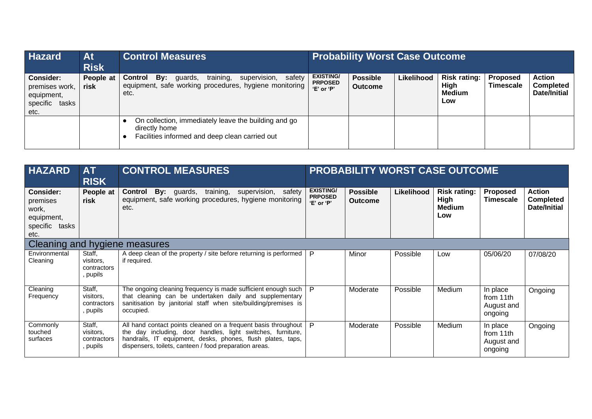| <b>Hazard</b>                                                                 | At<br><b>Risk</b> | <b>Control Measures</b>                                                                                                            | <b>Probability Worst Case Outcome</b>                |                                   |            |                                              |                              |                                                          |
|-------------------------------------------------------------------------------|-------------------|------------------------------------------------------------------------------------------------------------------------------------|------------------------------------------------------|-----------------------------------|------------|----------------------------------------------|------------------------------|----------------------------------------------------------|
| <b>Consider:</b><br>premises work,<br>equipment,<br>specific<br>tasks<br>etc. | People at<br>risk | training,<br>supervision,<br>safety<br>By:<br>Control<br>guards,<br>equipment, safe working procedures, hygiene monitoring<br>etc. | <b>EXISTING/</b><br><b>PRPOSED</b><br>$'E'$ or $'P'$ | <b>Possible</b><br><b>Outcome</b> | Likelihood | <b>Risk rating:</b><br>High<br>Medium<br>Low | Proposed<br><b>Timescale</b> | <b>Action</b><br><b>Completed</b><br><b>Date/Initial</b> |
|                                                                               |                   | On collection, immediately leave the building and go<br>directly home<br>Facilities informed and deep clean carried out            |                                                      |                                   |            |                                              |                              |                                                          |

| <b>HAZARD</b>                                                                    | <b>AT</b><br><b>RISK</b>                       | <b>CONTROL MEASURES</b>                                                                                                                                                                                                                                | <b>PROBABILITY WORST CASE OUTCOME</b>            |                                   |            |                                                     |                                                |                                                   |
|----------------------------------------------------------------------------------|------------------------------------------------|--------------------------------------------------------------------------------------------------------------------------------------------------------------------------------------------------------------------------------------------------------|--------------------------------------------------|-----------------------------------|------------|-----------------------------------------------------|------------------------------------------------|---------------------------------------------------|
| <b>Consider:</b><br>premises<br>work,<br>equipment,<br>specific<br>tasks<br>etc. | People at<br>risk                              | By: guards, training, supervision, safety<br>Control<br>equipment, safe working procedures, hygiene monitoring<br>etc.                                                                                                                                 | <b>EXISTING/</b><br><b>PRPOSED</b><br>'E' or 'P' | <b>Possible</b><br><b>Outcome</b> | Likelihood | <b>Risk rating:</b><br>High<br><b>Medium</b><br>Low | Proposed<br><b>Timescale</b>                   | <b>Action</b><br><b>Completed</b><br>Date/Initial |
| Cleaning and hygiene measures                                                    |                                                |                                                                                                                                                                                                                                                        |                                                  |                                   |            |                                                     |                                                |                                                   |
| Environmental<br>Cleaning                                                        | Staff,<br>visitors,<br>contractors<br>, pupils | A deep clean of the property / site before returning is performed $ P $<br>if required.                                                                                                                                                                |                                                  | Minor                             | Possible   | Low                                                 | 05/06/20                                       | 07/08/20                                          |
| Cleaning<br>Frequency                                                            | Staff,<br>visitors,<br>contractors<br>, pupils | The ongoing cleaning frequency is made sufficient enough such<br>that cleaning can be undertaken daily and supplementary<br>sanitisation by janitorial staff when site/building/premises is<br>occupied.                                               | P                                                | Moderate                          | Possible   | Medium                                              | In place<br>from 11th<br>August and<br>ongoing | Ongoing                                           |
| Commonly<br>touched<br>surfaces                                                  | Staff,<br>visitors,<br>contractors<br>, pupils | All hand contact points cleaned on a frequent basis throughout<br>the day including, door handles, light switches, furniture,<br>handrails, IT equipment, desks, phones, flush plates, taps,<br>dispensers, toilets, canteen / food preparation areas. | - P                                              | Moderate                          | Possible   | Medium                                              | In place<br>from 11th<br>August and<br>ongoing | Ongoing                                           |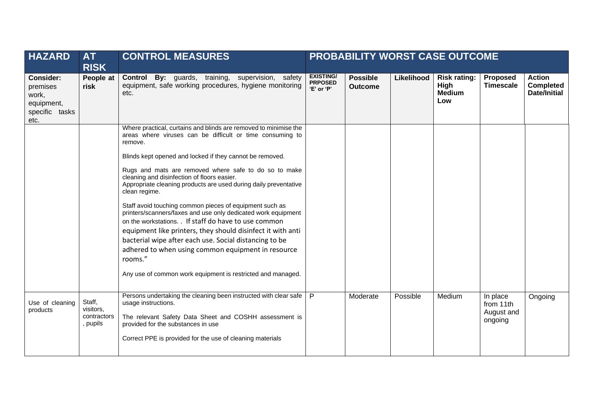| <b>HAZARD</b>                                                          | <b>AT</b><br><b>RISK</b>                       | <b>CONTROL MEASURES</b>                                                                                                                                                                                                                                                                                                                                                                                                                                                                                                                                                                                                                                                                                                                                                                                                                         |                                                  |                                   |            | <b>PROBABILITY WORST CASE OUTCOME</b>               |                                                |                                            |
|------------------------------------------------------------------------|------------------------------------------------|-------------------------------------------------------------------------------------------------------------------------------------------------------------------------------------------------------------------------------------------------------------------------------------------------------------------------------------------------------------------------------------------------------------------------------------------------------------------------------------------------------------------------------------------------------------------------------------------------------------------------------------------------------------------------------------------------------------------------------------------------------------------------------------------------------------------------------------------------|--------------------------------------------------|-----------------------------------|------------|-----------------------------------------------------|------------------------------------------------|--------------------------------------------|
| Consider:<br>premises<br>work,<br>equipment,<br>specific tasks<br>etc. | People at<br>risk                              | <b>Control By:</b> guards, training, supervision, safety<br>equipment, safe working procedures, hygiene monitoring<br>etc.                                                                                                                                                                                                                                                                                                                                                                                                                                                                                                                                                                                                                                                                                                                      | <b>EXISTING/</b><br><b>PRPOSED</b><br>'E' or 'P' | <b>Possible</b><br><b>Outcome</b> | Likelihood | <b>Risk rating:</b><br>High<br><b>Medium</b><br>Low | Proposed<br><b>Timescale</b>                   | <b>Action</b><br>Completed<br>Date/Initial |
|                                                                        |                                                | Where practical, curtains and blinds are removed to minimise the<br>areas where viruses can be difficult or time consuming to<br>remove.<br>Blinds kept opened and locked if they cannot be removed.<br>Rugs and mats are removed where safe to do so to make<br>cleaning and disinfection of floors easier.<br>Appropriate cleaning products are used during daily preventative<br>clean regime.<br>Staff avoid touching common pieces of equipment such as<br>printers/scanners/faxes and use only dedicated work equipment<br>on the workstations. . If staff do have to use common<br>equipment like printers, they should disinfect it with anti<br>bacterial wipe after each use. Social distancing to be<br>adhered to when using common equipment in resource<br>rooms."<br>Any use of common work equipment is restricted and managed. |                                                  |                                   |            |                                                     |                                                |                                            |
| Use of cleaning<br>products                                            | Staff,<br>visitors,<br>contractors<br>, pupils | Persons undertaking the cleaning been instructed with clear safe<br>usage instructions.<br>The relevant Safety Data Sheet and COSHH assessment is<br>provided for the substances in use<br>Correct PPE is provided for the use of cleaning materials                                                                                                                                                                                                                                                                                                                                                                                                                                                                                                                                                                                            | P                                                | Moderate                          | Possible   | Medium                                              | In place<br>from 11th<br>August and<br>ongoing | Ongoing                                    |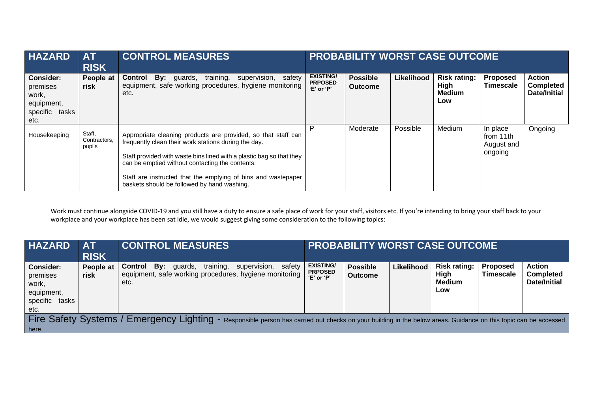| <b>HAZARD</b>                                                                    | <b>AT</b><br><b>RISK</b>         | <b>CONTROL MEASURES</b>                                                                                                                                                                                                                                                                                                                                          | <b>PROBABILITY WORST CASE OUTCOME</b>            |                                   |            |                                                     |                                                |                                                          |
|----------------------------------------------------------------------------------|----------------------------------|------------------------------------------------------------------------------------------------------------------------------------------------------------------------------------------------------------------------------------------------------------------------------------------------------------------------------------------------------------------|--------------------------------------------------|-----------------------------------|------------|-----------------------------------------------------|------------------------------------------------|----------------------------------------------------------|
| <b>Consider:</b><br>premises<br>work,<br>equipment,<br>specific<br>tasks<br>etc. | People at<br>risk                | Bv:<br>safety<br>Control<br>training,<br>supervision,<br>guards,<br>equipment, safe working procedures, hygiene monitoring<br>etc.                                                                                                                                                                                                                               | <b>EXISTING/</b><br><b>PRPOSED</b><br>'E' or 'P' | <b>Possible</b><br><b>Outcome</b> | Likelihood | <b>Risk rating:</b><br>High<br><b>Medium</b><br>Low | <b>Proposed</b><br><b>Timescale</b>            | <b>Action</b><br><b>Completed</b><br><b>Date/Initial</b> |
| Housekeeping                                                                     | Staff,<br>Contractors,<br>pupils | Appropriate cleaning products are provided, so that staff can<br>frequently clean their work stations during the day.<br>Staff provided with waste bins lined with a plastic bag so that they<br>can be emptied without contacting the contents.<br>Staff are instructed that the emptying of bins and wastepaper<br>baskets should be followed by hand washing. |                                                  | Moderate                          | Possible   | Medium                                              | In place<br>from 11th<br>August and<br>ongoing | Ongoing                                                  |

Work must continue alongside COVID-19 and you still have a duty to ensure a safe place of work for your staff, visitors etc. If you're intending to bring your staff back to your workplace and your workplace has been sat idle, we would suggest giving some consideration to the following topics:

| <b>HAZARD</b>                                                                                                                                                    | AT<br><b>RISK</b> | <b>CONTROL MEASURES</b>                                                                                                            | <b>PROBABILITY WORST CASE OUTCOME</b>              |                                   |            |                                              |                              |                                                          |
|------------------------------------------------------------------------------------------------------------------------------------------------------------------|-------------------|------------------------------------------------------------------------------------------------------------------------------------|----------------------------------------------------|-----------------------------------|------------|----------------------------------------------|------------------------------|----------------------------------------------------------|
| Consider:<br>premises<br>work,<br>equipment,<br>specific<br>tasks<br>etc.                                                                                        | People at<br>risk | supervision,<br>training,<br>safety<br>Bv:<br>Control<br>quards,<br>equipment, safe working procedures, hygiene monitoring<br>etc. | <b>EXISTING/</b><br><b>PRPOSED</b><br>$E'$ or $P'$ | <b>Possible</b><br><b>Outcome</b> | Likelihood | <b>Risk rating:</b><br>High<br>Medium<br>Low | Proposed<br><b>Timescale</b> | <b>Action</b><br><b>Completed</b><br><b>Date/Initial</b> |
| Fire Safety Systems / Emergency Lighting - Responsible person has carried out checks on your building in the below areas. Guidance on this topic can be accessed |                   |                                                                                                                                    |                                                    |                                   |            |                                              |                              |                                                          |
| here                                                                                                                                                             |                   |                                                                                                                                    |                                                    |                                   |            |                                              |                              |                                                          |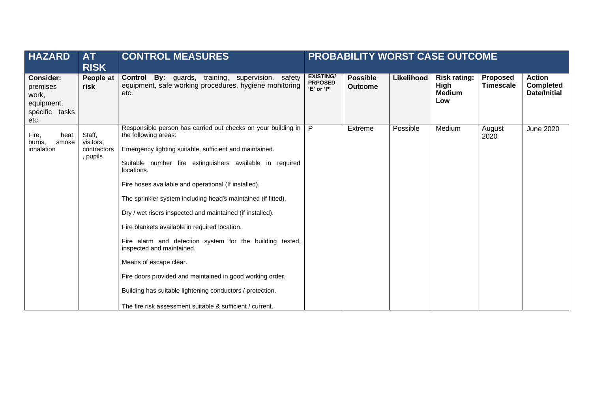| <b>HAZARD</b>                                                                 | <b>AT</b><br><b>RISK</b>                       | <b>CONTROL MEASURES</b>                                                                                                                                                                                                                                                                                                                                                                                                                                                                                                                                                                                                                                                                                                                                                     |                                                  |                                   |            | <b>PROBABILITY WORST CASE OUTCOME</b>               |                              |                                                          |
|-------------------------------------------------------------------------------|------------------------------------------------|-----------------------------------------------------------------------------------------------------------------------------------------------------------------------------------------------------------------------------------------------------------------------------------------------------------------------------------------------------------------------------------------------------------------------------------------------------------------------------------------------------------------------------------------------------------------------------------------------------------------------------------------------------------------------------------------------------------------------------------------------------------------------------|--------------------------------------------------|-----------------------------------|------------|-----------------------------------------------------|------------------------------|----------------------------------------------------------|
| <b>Consider:</b><br>premises<br>work,<br>equipment,<br>specific tasks<br>etc. | People at<br>risk                              | By: guards, training, supervision, safety<br>Control<br>equipment, safe working procedures, hygiene monitoring<br>etc.                                                                                                                                                                                                                                                                                                                                                                                                                                                                                                                                                                                                                                                      | <b>EXISTING/</b><br><b>PRPOSED</b><br>'E' or 'P' | <b>Possible</b><br><b>Outcome</b> | Likelihood | <b>Risk rating:</b><br>High<br><b>Medium</b><br>Low | Proposed<br><b>Timescale</b> | <b>Action</b><br><b>Completed</b><br><b>Date/Initial</b> |
| Fire,<br>heat,<br>smoke<br>burns,<br>inhalation                               | Staff,<br>visitors,<br>contractors<br>, pupils | Responsible person has carried out checks on your building in<br>the following areas:<br>Emergency lighting suitable, sufficient and maintained.<br>Suitable number fire extinguishers available in required<br>locations.<br>Fire hoses available and operational (If installed).<br>The sprinkler system including head's maintained (if fitted).<br>Dry / wet risers inspected and maintained (if installed).<br>Fire blankets available in required location.<br>Fire alarm and detection system for the building tested,<br>inspected and maintained.<br>Means of escape clear.<br>Fire doors provided and maintained in good working order.<br>Building has suitable lightening conductors / protection.<br>The fire risk assessment suitable & sufficient / current. | P                                                | Extreme                           | Possible   | Medium                                              | August<br>2020               | <b>June 2020</b>                                         |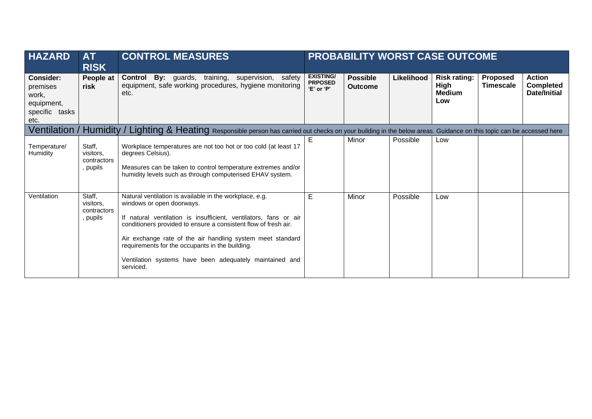| <b>HAZARD</b>                                                                    | <b>AT</b><br><b>RISK</b>                       | <b>CONTROL MEASURES</b>                                                                                                                                                                                                                                                                                                                                                                                              |                                                  |                                   |            | <b>PROBABILITY WORST CASE OUTCOME</b>               |                              |                                                          |
|----------------------------------------------------------------------------------|------------------------------------------------|----------------------------------------------------------------------------------------------------------------------------------------------------------------------------------------------------------------------------------------------------------------------------------------------------------------------------------------------------------------------------------------------------------------------|--------------------------------------------------|-----------------------------------|------------|-----------------------------------------------------|------------------------------|----------------------------------------------------------|
| <b>Consider:</b><br>premises<br>work,<br>equipment,<br>specific<br>tasks<br>etc. | People at<br>risk                              | <b>Control By:</b> guards, training, supervision, safety<br>equipment, safe working procedures, hygiene monitoring<br>etc.                                                                                                                                                                                                                                                                                           | <b>EXISTING/</b><br><b>PRPOSED</b><br>'E' or 'P' | <b>Possible</b><br><b>Outcome</b> | Likelihood | <b>Risk rating:</b><br>High<br><b>Medium</b><br>Low | Proposed<br><b>Timescale</b> | <b>Action</b><br><b>Completed</b><br><b>Date/Initial</b> |
|                                                                                  |                                                | Ventilation / Humidity / Lighting & Heating Responsible person has carried out checks on your building in the below areas. Guidance on this topic can be accessed here                                                                                                                                                                                                                                               |                                                  |                                   |            |                                                     |                              |                                                          |
| Temperature/<br><b>Humidity</b>                                                  | Staff,<br>visitors,<br>contractors<br>, pupils | Workplace temperatures are not too hot or too cold (at least 17<br>degrees Celsius).<br>Measures can be taken to control temperature extremes and/or<br>humidity levels such as through computerised EHAV system.                                                                                                                                                                                                    | E.                                               | Minor                             | Possible   | Low                                                 |                              |                                                          |
| Ventilation                                                                      | Staff,<br>visitors.<br>contractors<br>, pupils | Natural ventilation is available in the workplace, e.g.<br>windows or open doorways.<br>If natural ventilation is insufficient, ventilators, fans or air<br>conditioners provided to ensure a consistent flow of fresh air.<br>Air exchange rate of the air handling system meet standard<br>requirements for the occupants in the building.<br>Ventilation systems have been adequately maintained and<br>serviced. | E                                                | Minor                             | Possible   | Low                                                 |                              |                                                          |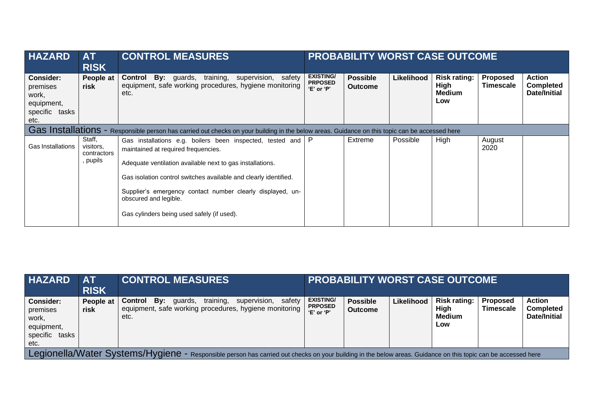| <b>HAZARD</b>                                                                    | <b>AT</b><br><b>RISK</b>                     | <b>CONTROL MEASURES</b>                                                                                                                                                                                                                                                                                                                                                | <b>PROBABILITY WORST CASE OUTCOME</b>              |                                   |            |                                              |                                     |                                                   |
|----------------------------------------------------------------------------------|----------------------------------------------|------------------------------------------------------------------------------------------------------------------------------------------------------------------------------------------------------------------------------------------------------------------------------------------------------------------------------------------------------------------------|----------------------------------------------------|-----------------------------------|------------|----------------------------------------------|-------------------------------------|---------------------------------------------------|
| <b>Consider:</b><br>premises<br>work,<br>equipment,<br>specific<br>tasks<br>etc. | People at<br>risk                            | training,<br><b>By:</b> guards,<br>Control<br>supervision, safety<br>equipment, safe working procedures, hygiene monitoring<br>etc.                                                                                                                                                                                                                                    | <b>EXISTING/</b><br><b>PRPOSED</b><br>$E'$ or $P'$ | <b>Possible</b><br><b>Outcome</b> | Likelihood | Risk rating:<br>High<br><b>Medium</b><br>Low | <b>Proposed</b><br><b>Timescale</b> | <b>Action</b><br><b>Completed</b><br>Date/Initial |
|                                                                                  |                                              | Gas Installations - Responsible person has carried out checks on your building in the below areas. Guidance on this topic can be accessed here                                                                                                                                                                                                                         |                                                    |                                   |            |                                              |                                     |                                                   |
| Gas Installations                                                                | Staff,<br>visitors,<br>contractors<br>pupils | Gas installations e.g. boilers been inspected, tested and<br>maintained at required frequencies.<br>Adequate ventilation available next to gas installations.<br>Gas isolation control switches available and clearly identified.<br>Supplier's emergency contact number clearly displayed, un-<br>obscured and legible.<br>Gas cylinders being used safely (if used). | $\mathsf{P}$                                       | Extreme                           | Possible   | High                                         | August<br>2020                      |                                                   |

| <b>HAZARD</b>                                                             | <b>AT</b><br><b>RISK</b>                                                                                                                                      |                 | <b>CONTROL MEASURES</b> |           |                                                                        |        |                                                  |                                   |            | <b>PROBABILITY WORST CASE OUTCOME</b>               |                                     |                                                   |
|---------------------------------------------------------------------------|---------------------------------------------------------------------------------------------------------------------------------------------------------------|-----------------|-------------------------|-----------|------------------------------------------------------------------------|--------|--------------------------------------------------|-----------------------------------|------------|-----------------------------------------------------|-------------------------------------|---------------------------------------------------|
| Consider:<br>premises<br>work,<br>equipment,<br>specific<br>tasks<br>etc. | People at<br>risk                                                                                                                                             | Control<br>etc. | Bv:<br>quards,          | training. | supervision,<br>equipment, safe working procedures, hygiene monitoring | safetv | <b>EXISTING/</b><br><b>PRPOSED</b><br>'E' or 'P' | <b>Possible</b><br><b>Outcome</b> | Likelihood | <b>Risk rating:</b><br>High<br><b>Medium</b><br>Low | <b>Proposed</b><br><b>Timescale</b> | <b>Action</b><br><b>Completed</b><br>Date/Initial |
|                                                                           | Legionella/Water Systems/Hygiene - Responsible person has carried out checks on your building in the below areas. Guidance on this topic can be accessed here |                 |                         |           |                                                                        |        |                                                  |                                   |            |                                                     |                                     |                                                   |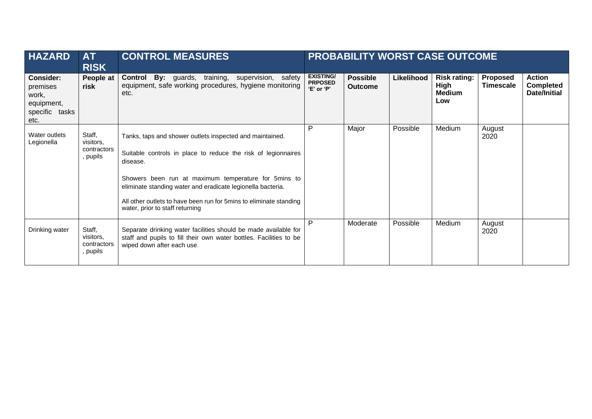| <b>HAZARD</b>                                                                 | <b>AT</b><br><b>RISK</b>                       | <b>CONTROL MEASURES</b>                                                                                                                                                                                                                                                                                                                                                | <b>PROBABILITY WORST CASE OUTCOME</b>            |                                   |            |                                              |                              |                                                   |
|-------------------------------------------------------------------------------|------------------------------------------------|------------------------------------------------------------------------------------------------------------------------------------------------------------------------------------------------------------------------------------------------------------------------------------------------------------------------------------------------------------------------|--------------------------------------------------|-----------------------------------|------------|----------------------------------------------|------------------------------|---------------------------------------------------|
| <b>Consider:</b><br>premises<br>work,<br>equipment,<br>specific tasks<br>etc. | People at<br>risk                              | <b>By:</b> guards, training, supervision, safety<br>Control<br>equipment, safe working procedures, hygiene monitoring<br>etc.                                                                                                                                                                                                                                          | <b>EXISTING/</b><br><b>PRPOSED</b><br>'E' or 'P' | <b>Possible</b><br><b>Outcome</b> | Likelihood | Risk rating:<br>High<br><b>Medium</b><br>Low | Proposed<br><b>Timescale</b> | <b>Action</b><br><b>Completed</b><br>Date/Initial |
| Water outlets<br>Legionella                                                   | Staff,<br>visitors,<br>contractors<br>, pupils | Tanks, taps and shower outlets inspected and maintained.<br>Suitable controls in place to reduce the risk of legionnaires<br>disease.<br>Showers been run at maximum temperature for 5mins to<br>eliminate standing water and eradicate legionella bacteria.<br>All other outlets to have been run for 5 mins to eliminate standing<br>water, prior to staff returning | P                                                | Major                             | Possible   | Medium                                       | August<br>2020               |                                                   |
| Drinking water                                                                | Staff,<br>visitors,<br>contractors<br>, pupils | Separate drinking water facilities should be made available for<br>staff and pupils to fill their own water bottles. Facilities to be<br>wiped down after each use.                                                                                                                                                                                                    | P                                                | Moderate                          | Possible   | Medium                                       | August<br>2020               |                                                   |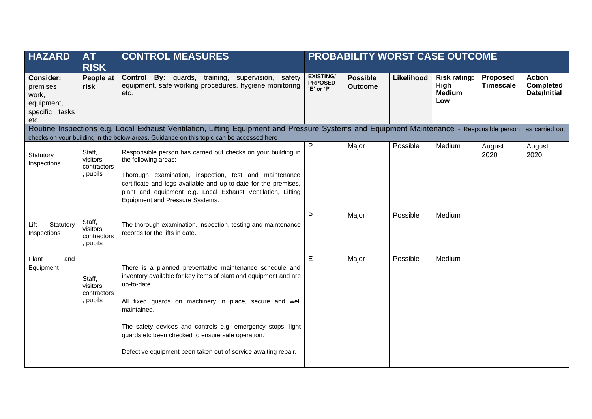| <b>HAZARD</b>                                                          | <b>AT</b><br><b>RISK</b>                       | <b>CONTROL MEASURES</b>                                                                                                                                                                                                                                                                                                                                                                                         | PROBABILITY WORST CASE OUTCOME                   |                                   |            |                                                            |                              |                                                   |
|------------------------------------------------------------------------|------------------------------------------------|-----------------------------------------------------------------------------------------------------------------------------------------------------------------------------------------------------------------------------------------------------------------------------------------------------------------------------------------------------------------------------------------------------------------|--------------------------------------------------|-----------------------------------|------------|------------------------------------------------------------|------------------------------|---------------------------------------------------|
| Consider:<br>premises<br>work,<br>equipment,<br>specific tasks<br>etc. | People at<br>risk                              | Control By: guards, training, supervision, safety<br>equipment, safe working procedures, hygiene monitoring<br>etc.                                                                                                                                                                                                                                                                                             | <b>EXISTING/</b><br><b>PRPOSED</b><br>'E' or 'P' | <b>Possible</b><br><b>Outcome</b> | Likelihood | <b>Risk rating:</b><br><b>High</b><br><b>Medium</b><br>Low | Proposed<br><b>Timescale</b> | <b>Action</b><br><b>Completed</b><br>Date/Initial |
|                                                                        |                                                | Routine Inspections e.g. Local Exhaust Ventilation, Lifting Equipment and Pressure Systems and Equipment Maintenance - Responsible person has carried out                                                                                                                                                                                                                                                       |                                                  |                                   |            |                                                            |                              |                                                   |
| Statutory<br>Inspections                                               | Staff,<br>visitors,<br>contractors<br>, pupils | checks on your building in the below areas. Guidance on this topic can be accessed here<br>Responsible person has carried out checks on your building in<br>the following areas:<br>Thorough examination, inspection, test and maintenance<br>certificate and logs available and up-to-date for the premises,<br>plant and equipment e.g. Local Exhaust Ventilation, Lifting<br>Equipment and Pressure Systems. | P                                                | Major                             | Possible   | Medium                                                     | August<br>2020               | August<br>2020                                    |
| Statutory<br>Lift<br>Inspections                                       | Staff,<br>visitors,<br>contractors<br>, pupils | The thorough examination, inspection, testing and maintenance<br>records for the lifts in date.                                                                                                                                                                                                                                                                                                                 | P                                                | Major                             | Possible   | Medium                                                     |                              |                                                   |
| Plant<br>and<br>Equipment                                              | Staff,<br>visitors.<br>contractors<br>, pupils | There is a planned preventative maintenance schedule and<br>inventory available for key items of plant and equipment and are<br>up-to-date<br>All fixed guards on machinery in place, secure and well<br>maintained.<br>The safety devices and controls e.g. emergency stops, light<br>guards etc been checked to ensure safe operation.<br>Defective equipment been taken out of service awaiting repair.      | E                                                | Major                             | Possible   | Medium                                                     |                              |                                                   |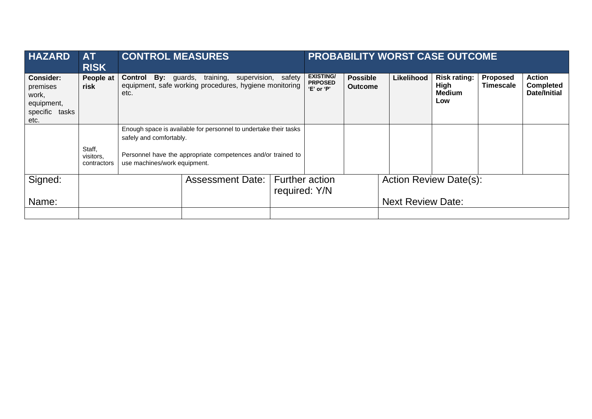| <b>HAZARD</b>                                                                    | <b>AT</b><br><b>RISK</b>           | <b>CONTROL MEASURES</b>      |                                                                                                     |                       |                                                  |                                   | <b>PROBABILITY WORST CASE OUTCOME</b> |                                                     |                              |                                                          |
|----------------------------------------------------------------------------------|------------------------------------|------------------------------|-----------------------------------------------------------------------------------------------------|-----------------------|--------------------------------------------------|-----------------------------------|---------------------------------------|-----------------------------------------------------|------------------------------|----------------------------------------------------------|
| <b>Consider:</b><br>premises<br>work,<br>equipment,<br>specific<br>tasks<br>etc. | People at<br>risk                  | Control<br>etc.              | <b>By:</b> guards, training, supervision,<br>equipment, safe working procedures, hygiene monitoring | safety                | <b>EXISTING/</b><br><b>PRPOSED</b><br>'E' or 'P' | <b>Possible</b><br><b>Outcome</b> | Likelihood                            | <b>Risk rating:</b><br>High<br><b>Medium</b><br>Low | Proposed<br><b>Timescale</b> | <b>Action</b><br><b>Completed</b><br><b>Date/Initial</b> |
|                                                                                  |                                    | safely and comfortably.      | Enough space is available for personnel to undertake their tasks                                    |                       |                                                  |                                   |                                       |                                                     |                              |                                                          |
|                                                                                  | Staff,<br>visitors,<br>contractors | use machines/work equipment. | Personnel have the appropriate competences and/or trained to                                        |                       |                                                  |                                   |                                       |                                                     |                              |                                                          |
| Signed:                                                                          |                                    | <b>Assessment Date:</b>      |                                                                                                     | <b>Further action</b> |                                                  | <b>Action Review Date(s):</b>     |                                       |                                                     |                              |                                                          |
| Name:                                                                            |                                    |                              |                                                                                                     |                       | required: Y/N<br><b>Next Review Date:</b>        |                                   |                                       |                                                     |                              |                                                          |
|                                                                                  |                                    |                              |                                                                                                     |                       |                                                  |                                   |                                       |                                                     |                              |                                                          |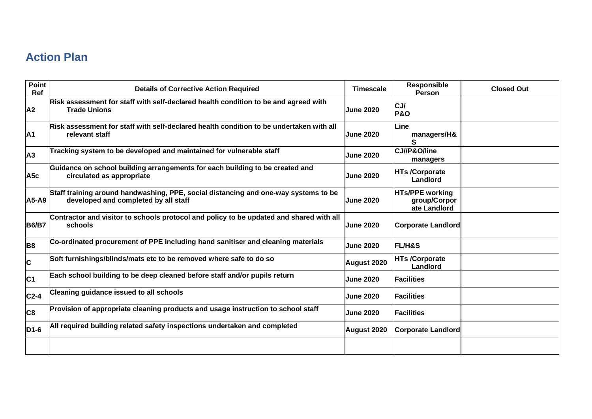## **Action Plan**

| Point<br>Ref      | <b>Details of Corrective Action Required</b>                                                                                | <b>Timescale</b> | <b>Responsible</b><br><b>Person</b>                    | <b>Closed Out</b> |
|-------------------|-----------------------------------------------------------------------------------------------------------------------------|------------------|--------------------------------------------------------|-------------------|
| A <sub>2</sub>    | Risk assessment for staff with self-declared health condition to be and agreed with<br><b>Trade Unions</b>                  | <b>June 2020</b> | CJ/<br><b>P&amp;O</b>                                  |                   |
| A <sub>1</sub>    | Risk assessment for staff with self-declared health condition to be undertaken with all<br>relevant staff                   | <b>June 2020</b> | Line<br>managers/H&<br>S                               |                   |
| A <sub>3</sub>    | Tracking system to be developed and maintained for vulnerable staff                                                         | <b>June 2020</b> | CJ//P&O/line<br>managers                               |                   |
| A <sub>5</sub> c  | Guidance on school building arrangements for each building to be created and<br>circulated as appropriate                   | <b>June 2020</b> | <b>HTs /Corporate</b><br>Landlord                      |                   |
| A5-A9             | Staff training around handwashing, PPE, social distancing and one-way systems to be<br>developed and completed by all staff | <b>June 2020</b> | <b>HTs/PPE working</b><br>group/Corpor<br>ate Landlord |                   |
| <b>B6/B7</b>      | Contractor and visitor to schools protocol and policy to be updated and shared with all<br>schools                          | <b>June 2020</b> | <b>Corporate Landlord</b>                              |                   |
| B <sub>8</sub>    | Co-ordinated procurement of PPE including hand sanitiser and cleaning materials                                             | <b>June 2020</b> | <b>FL/H&amp;S</b>                                      |                   |
| C                 | Soft furnishings/blinds/mats etc to be removed where safe to do so                                                          | August 2020      | <b>HTs /Corporate</b><br>Landlord                      |                   |
| IC <sub>1</sub>   | Each school building to be deep cleaned before staff and/or pupils return                                                   | <b>June 2020</b> | <b>Facilities</b>                                      |                   |
| $C2-4$            | <b>Cleaning guidance issued to all schools</b>                                                                              | <b>June 2020</b> | <b>Facilities</b>                                      |                   |
| C <sub>8</sub>    | Provision of appropriate cleaning products and usage instruction to school staff                                            | <b>June 2020</b> | <b>Facilities</b>                                      |                   |
| D <sub>1</sub> -6 | All required building related safety inspections undertaken and completed                                                   | August 2020      | <b>Corporate Landlord</b>                              |                   |
|                   |                                                                                                                             |                  |                                                        |                   |